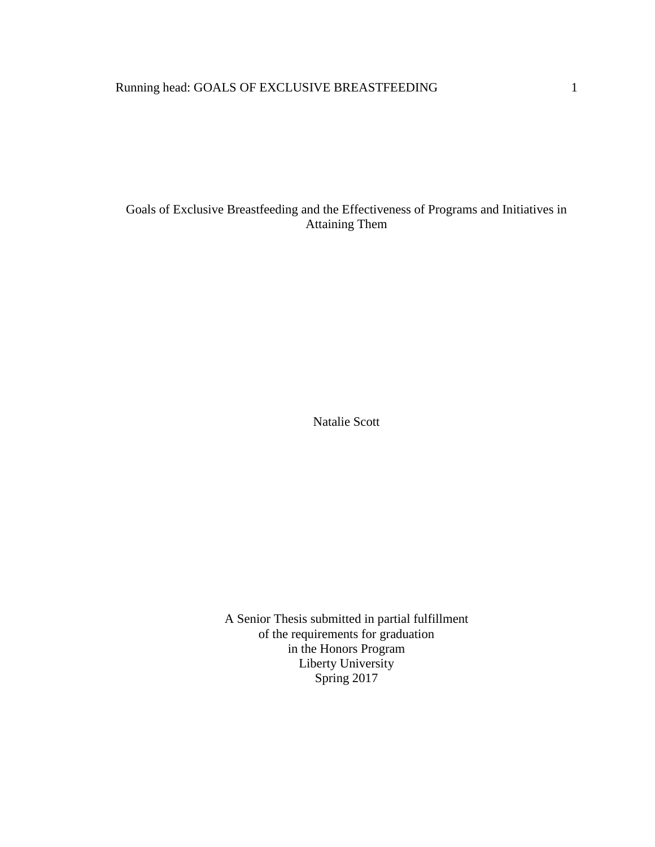Goals of Exclusive Breastfeeding and the Effectiveness of Programs and Initiatives in Attaining Them

Natalie Scott

A Senior Thesis submitted in partial fulfillment of the requirements for graduation in the Honors Program Liberty University Spring 2017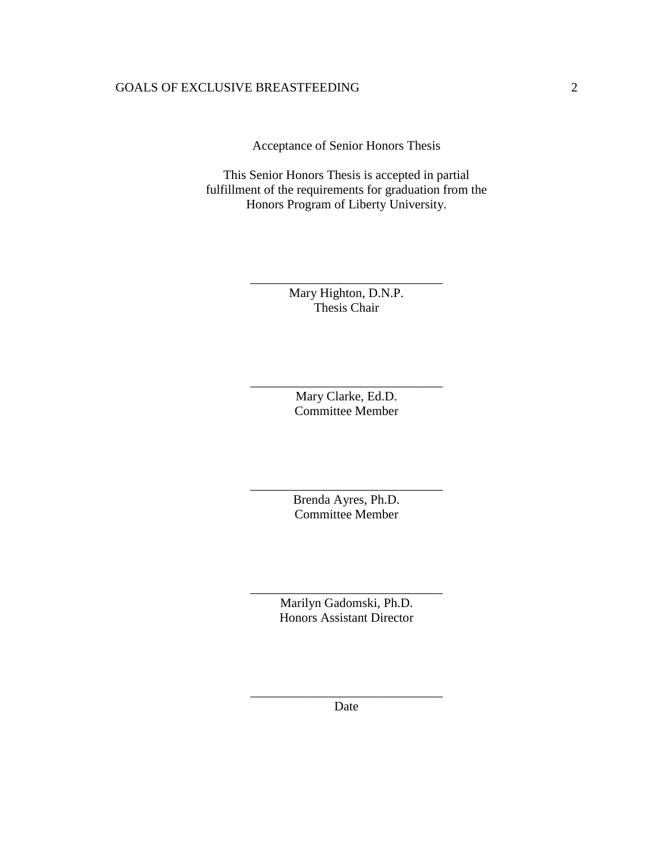Acceptance of Senior Honors Thesis

This Senior Honors Thesis is accepted in partial fulfillment of the requirements for graduation from the Honors Program of Liberty University.

> Mary Highton, D.N.P. Thesis Chair

\_\_\_\_\_\_\_\_\_\_\_\_\_\_\_\_\_\_\_\_\_\_\_\_\_\_\_\_\_\_

Mary Clarke, Ed.D. Committee Member

\_\_\_\_\_\_\_\_\_\_\_\_\_\_\_\_\_\_\_\_\_\_\_\_\_\_\_\_\_\_

Brenda Ayres, Ph.D. Committee Member

\_\_\_\_\_\_\_\_\_\_\_\_\_\_\_\_\_\_\_\_\_\_\_\_\_\_\_\_\_\_

Marilyn Gadomski, Ph.D. Honors Assistant Director

\_\_\_\_\_\_\_\_\_\_\_\_\_\_\_\_\_\_\_\_\_\_\_\_\_\_\_\_\_\_

\_\_\_\_\_\_\_\_\_\_\_\_\_\_\_\_\_\_\_\_\_\_\_\_\_\_\_\_\_\_ Date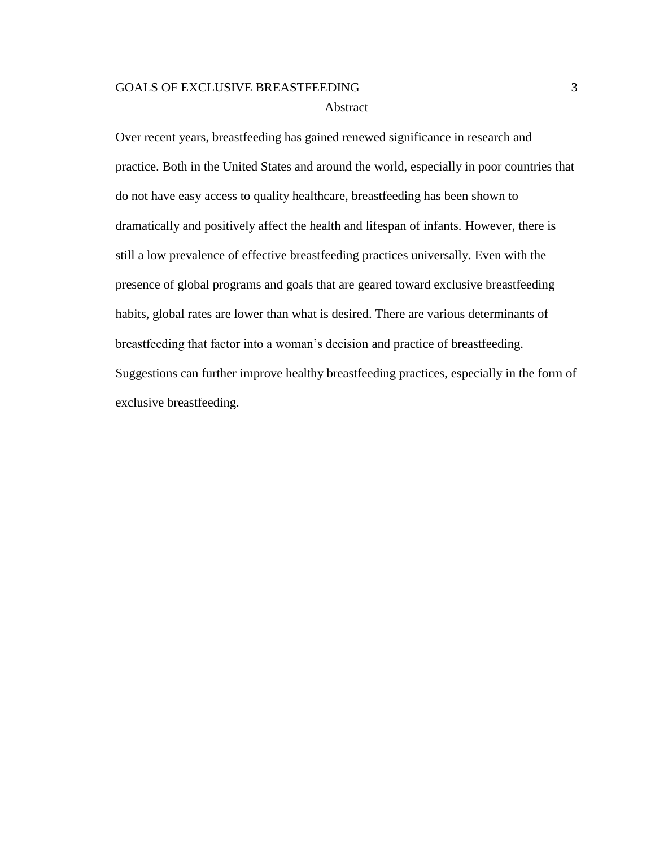### GOALS OF EXCLUSIVE BREASTFEEDING 3 Abstract

Over recent years, breastfeeding has gained renewed significance in research and practice. Both in the United States and around the world, especially in poor countries that do not have easy access to quality healthcare, breastfeeding has been shown to dramatically and positively affect the health and lifespan of infants. However, there is still a low prevalence of effective breastfeeding practices universally. Even with the presence of global programs and goals that are geared toward exclusive breastfeeding habits, global rates are lower than what is desired. There are various determinants of breastfeeding that factor into a woman's decision and practice of breastfeeding. Suggestions can further improve healthy breastfeeding practices, especially in the form of exclusive breastfeeding.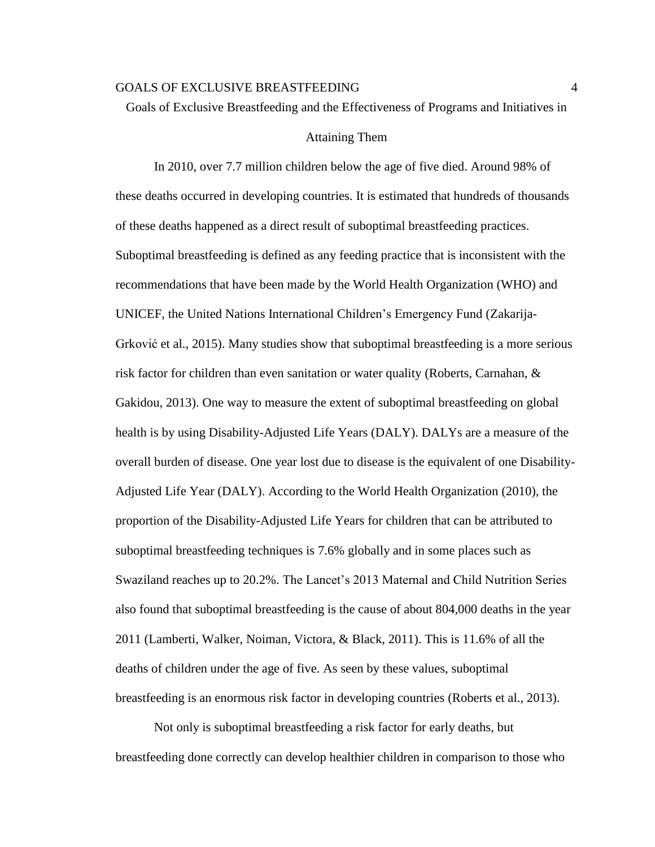Goals of Exclusive Breastfeeding and the Effectiveness of Programs and Initiatives in

#### Attaining Them

In 2010, over 7.7 million children below the age of five died. Around 98% of these deaths occurred in developing countries. It is estimated that hundreds of thousands of these deaths happened as a direct result of suboptimal breastfeeding practices. Suboptimal breastfeeding is defined as any feeding practice that is inconsistent with the recommendations that have been made by the World Health Organization (WHO) and UNICEF, the United Nations International Children's Emergency Fund (Zakarija-Grković et al., 2015). Many studies show that suboptimal breastfeeding is a more serious risk factor for children than even sanitation or water quality (Roberts, Carnahan, & Gakidou, 2013). One way to measure the extent of suboptimal breastfeeding on global health is by using Disability-Adjusted Life Years (DALY). DALYs are a measure of the overall burden of disease. One year lost due to disease is the equivalent of one Disability-Adjusted Life Year (DALY). According to the World Health Organization (2010), the proportion of the Disability-Adjusted Life Years for children that can be attributed to suboptimal breastfeeding techniques is 7.6% globally and in some places such as Swaziland reaches up to 20.2%. The Lancet's 2013 Maternal and Child Nutrition Series also found that suboptimal breastfeeding is the cause of about 804,000 deaths in the year 2011 (Lamberti, Walker, Noiman, Victora, & Black, 2011). This is 11.6% of all the deaths of children under the age of five. As seen by these values, suboptimal breastfeeding is an enormous risk factor in developing countries (Roberts et al., 2013).

Not only is suboptimal breastfeeding a risk factor for early deaths, but breastfeeding done correctly can develop healthier children in comparison to those who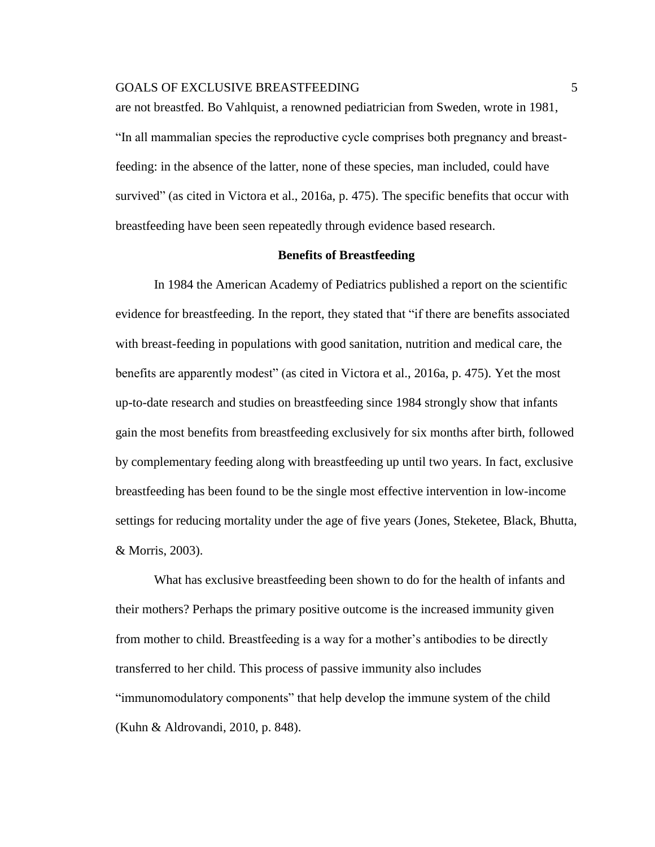are not breastfed. Bo Vahlquist, a renowned pediatrician from Sweden, wrote in 1981, "In all mammalian species the reproductive cycle comprises both pregnancy and breastfeeding: in the absence of the latter, none of these species, man included, could have survived" (as cited in Victora et al., 2016a, p. 475). The specific benefits that occur with breastfeeding have been seen repeatedly through evidence based research.

#### **Benefits of Breastfeeding**

In 1984 the American Academy of Pediatrics published a report on the scientific evidence for breastfeeding. In the report, they stated that "if there are benefits associated with breast-feeding in populations with good sanitation, nutrition and medical care, the benefits are apparently modest" (as cited in Victora et al., 2016a, p. 475). Yet the most up-to-date research and studies on breastfeeding since 1984 strongly show that infants gain the most benefits from breastfeeding exclusively for six months after birth, followed by complementary feeding along with breastfeeding up until two years. In fact, exclusive breastfeeding has been found to be the single most effective intervention in low-income settings for reducing mortality under the age of five years (Jones, Steketee, Black, Bhutta, & Morris, 2003).

What has exclusive breastfeeding been shown to do for the health of infants and their mothers? Perhaps the primary positive outcome is the increased immunity given from mother to child. Breastfeeding is a way for a mother's antibodies to be directly transferred to her child. This process of passive immunity also includes "immunomodulatory components" that help develop the immune system of the child (Kuhn & Aldrovandi, 2010, p. 848).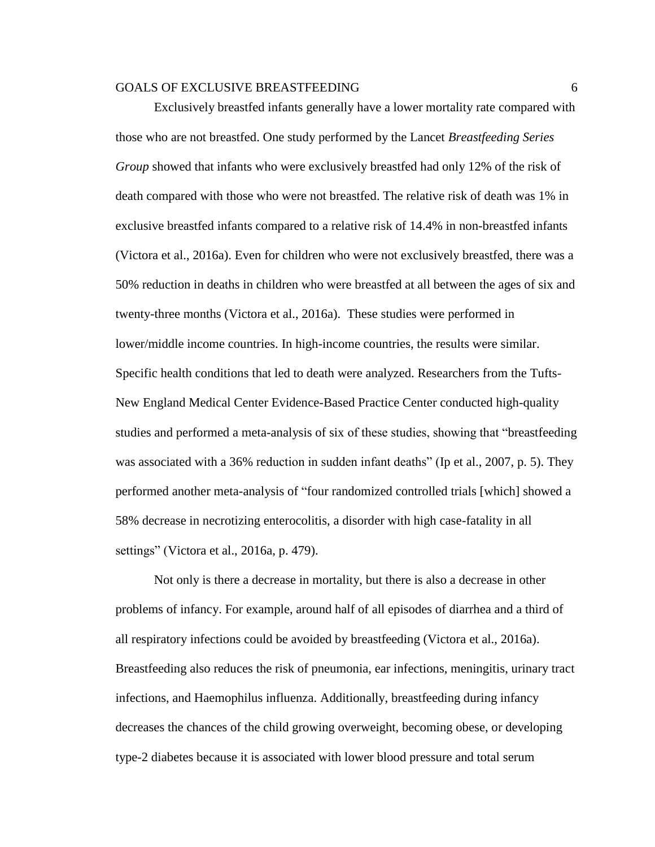Exclusively breastfed infants generally have a lower mortality rate compared with those who are not breastfed. One study performed by the Lancet *Breastfeeding Series Group* showed that infants who were exclusively breastfed had only 12% of the risk of death compared with those who were not breastfed. The relative risk of death was 1% in exclusive breastfed infants compared to a relative risk of 14.4% in non-breastfed infants (Victora et al., 2016a). Even for children who were not exclusively breastfed, there was a 50% reduction in deaths in children who were breastfed at all between the ages of six and twenty-three months (Victora et al., 2016a). These studies were performed in lower/middle income countries. In high-income countries, the results were similar. Specific health conditions that led to death were analyzed. Researchers from the Tufts-New England Medical Center Evidence-Based Practice Center conducted high-quality studies and performed a meta-analysis of six of these studies, showing that "breastfeeding was associated with a 36% reduction in sudden infant deaths" (Ip et al., 2007, p. 5). They performed another meta-analysis of "four randomized controlled trials [which] showed a 58% decrease in necrotizing enterocolitis, a disorder with high case-fatality in all settings" (Victora et al., 2016a, p. 479).

Not only is there a decrease in mortality, but there is also a decrease in other problems of infancy. For example, around half of all episodes of diarrhea and a third of all respiratory infections could be avoided by breastfeeding (Victora et al., 2016a). Breastfeeding also reduces the risk of pneumonia, ear infections, meningitis, urinary tract infections, and Haemophilus influenza. Additionally, breastfeeding during infancy decreases the chances of the child growing overweight, becoming obese, or developing type-2 diabetes because it is associated with lower blood pressure and total serum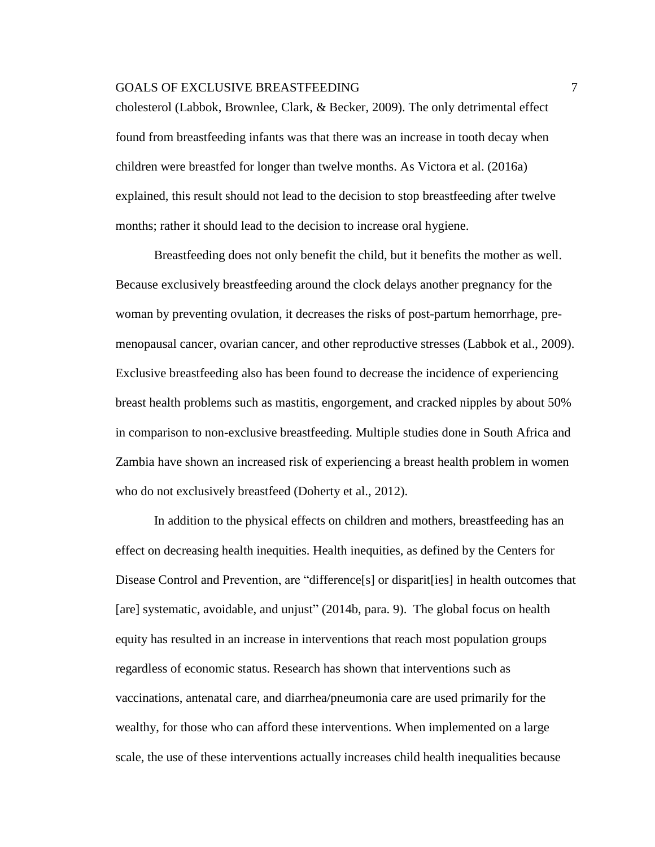#### GOALS OF EXCLUSIVE BREASTFEEDING  $\qquad \qquad \qquad \qquad \qquad 7$

cholesterol (Labbok, Brownlee, Clark, & Becker, 2009). The only detrimental effect found from breastfeeding infants was that there was an increase in tooth decay when children were breastfed for longer than twelve months. As Victora et al. (2016a) explained, this result should not lead to the decision to stop breastfeeding after twelve months; rather it should lead to the decision to increase oral hygiene.

Breastfeeding does not only benefit the child, but it benefits the mother as well. Because exclusively breastfeeding around the clock delays another pregnancy for the woman by preventing ovulation, it decreases the risks of post-partum hemorrhage, premenopausal cancer, ovarian cancer, and other reproductive stresses (Labbok et al., 2009). Exclusive breastfeeding also has been found to decrease the incidence of experiencing breast health problems such as mastitis, engorgement, and cracked nipples by about 50% in comparison to non-exclusive breastfeeding. Multiple studies done in South Africa and Zambia have shown an increased risk of experiencing a breast health problem in women who do not exclusively breastfeed (Doherty et al., 2012).

In addition to the physical effects on children and mothers, breastfeeding has an effect on decreasing health inequities. Health inequities, as defined by the Centers for Disease Control and Prevention, are "difference<sup>[s]</sup> or disparit<sup>[ies]</sup> in health outcomes that [are] systematic, avoidable, and unjust" (2014b, para. 9). The global focus on health equity has resulted in an increase in interventions that reach most population groups regardless of economic status. Research has shown that interventions such as vaccinations, antenatal care, and diarrhea/pneumonia care are used primarily for the wealthy, for those who can afford these interventions. When implemented on a large scale, the use of these interventions actually increases child health inequalities because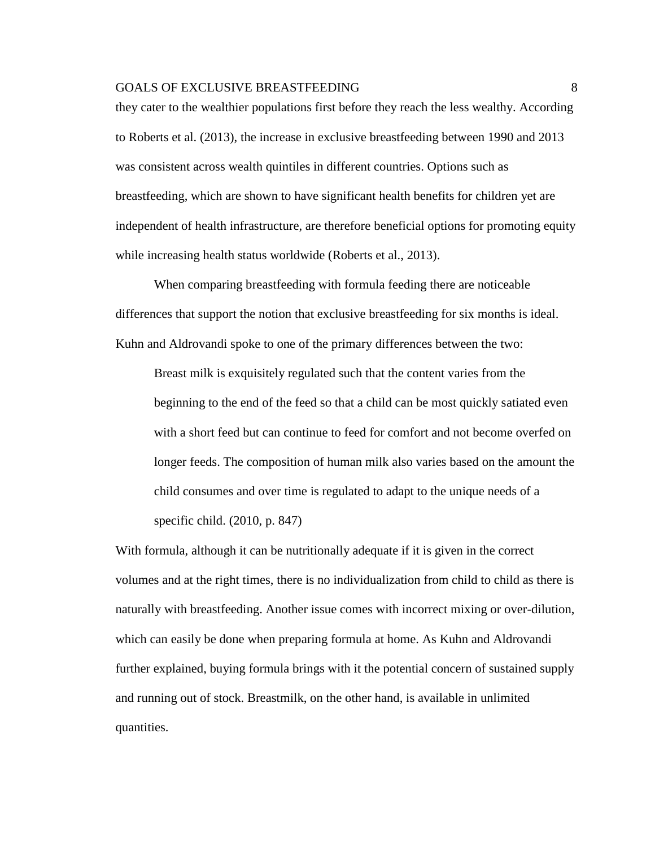they cater to the wealthier populations first before they reach the less wealthy. According to Roberts et al. (2013), the increase in exclusive breastfeeding between 1990 and 2013 was consistent across wealth quintiles in different countries. Options such as breastfeeding, which are shown to have significant health benefits for children yet are independent of health infrastructure, are therefore beneficial options for promoting equity while increasing health status worldwide (Roberts et al., 2013).

When comparing breastfeeding with formula feeding there are noticeable differences that support the notion that exclusive breastfeeding for six months is ideal. Kuhn and Aldrovandi spoke to one of the primary differences between the two:

Breast milk is exquisitely regulated such that the content varies from the beginning to the end of the feed so that a child can be most quickly satiated even with a short feed but can continue to feed for comfort and not become overfed on longer feeds. The composition of human milk also varies based on the amount the child consumes and over time is regulated to adapt to the unique needs of a specific child. (2010, p. 847)

With formula, although it can be nutritionally adequate if it is given in the correct volumes and at the right times, there is no individualization from child to child as there is naturally with breastfeeding. Another issue comes with incorrect mixing or over-dilution, which can easily be done when preparing formula at home. As Kuhn and Aldrovandi further explained, buying formula brings with it the potential concern of sustained supply and running out of stock. Breastmilk, on the other hand, is available in unlimited quantities.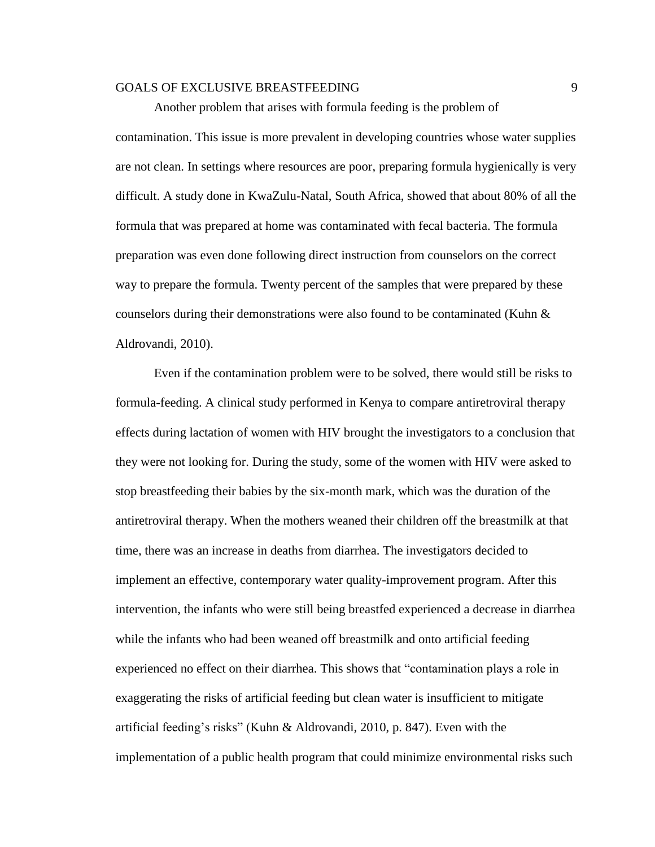Another problem that arises with formula feeding is the problem of

contamination. This issue is more prevalent in developing countries whose water supplies are not clean. In settings where resources are poor, preparing formula hygienically is very difficult. A study done in KwaZulu-Natal, South Africa, showed that about 80% of all the formula that was prepared at home was contaminated with fecal bacteria. The formula preparation was even done following direct instruction from counselors on the correct way to prepare the formula. Twenty percent of the samples that were prepared by these counselors during their demonstrations were also found to be contaminated (Kuhn & Aldrovandi, 2010).

Even if the contamination problem were to be solved, there would still be risks to formula-feeding. A clinical study performed in Kenya to compare antiretroviral therapy effects during lactation of women with HIV brought the investigators to a conclusion that they were not looking for. During the study, some of the women with HIV were asked to stop breastfeeding their babies by the six-month mark, which was the duration of the antiretroviral therapy. When the mothers weaned their children off the breastmilk at that time, there was an increase in deaths from diarrhea. The investigators decided to implement an effective, contemporary water quality-improvement program. After this intervention, the infants who were still being breastfed experienced a decrease in diarrhea while the infants who had been weaned off breastmilk and onto artificial feeding experienced no effect on their diarrhea. This shows that "contamination plays a role in exaggerating the risks of artificial feeding but clean water is insufficient to mitigate artificial feeding's risks" (Kuhn & Aldrovandi, 2010, p. 847). Even with the implementation of a public health program that could minimize environmental risks such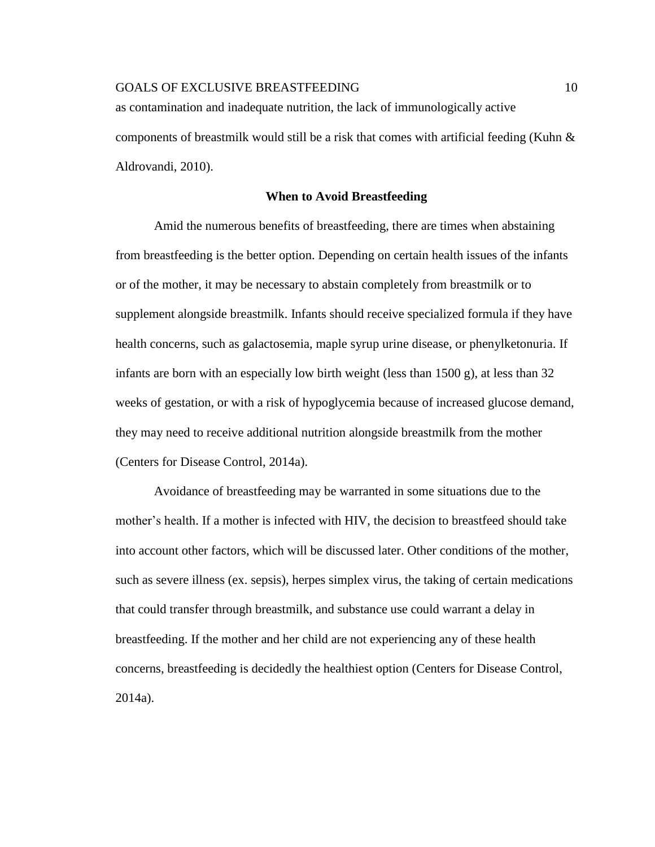as contamination and inadequate nutrition, the lack of immunologically active components of breastmilk would still be a risk that comes with artificial feeding (Kuhn  $\&$ Aldrovandi, 2010).

#### **When to Avoid Breastfeeding**

Amid the numerous benefits of breastfeeding, there are times when abstaining from breastfeeding is the better option. Depending on certain health issues of the infants or of the mother, it may be necessary to abstain completely from breastmilk or to supplement alongside breastmilk. Infants should receive specialized formula if they have health concerns, such as galactosemia, maple syrup urine disease, or phenylketonuria. If infants are born with an especially low birth weight (less than  $1500 \text{ g}$ ), at less than  $32$ weeks of gestation, or with a risk of hypoglycemia because of increased glucose demand, they may need to receive additional nutrition alongside breastmilk from the mother (Centers for Disease Control, 2014a).

Avoidance of breastfeeding may be warranted in some situations due to the mother's health. If a mother is infected with HIV, the decision to breastfeed should take into account other factors, which will be discussed later. Other conditions of the mother, such as severe illness (ex. sepsis), herpes simplex virus, the taking of certain medications that could transfer through breastmilk, and substance use could warrant a delay in breastfeeding. If the mother and her child are not experiencing any of these health concerns, breastfeeding is decidedly the healthiest option (Centers for Disease Control, 2014a).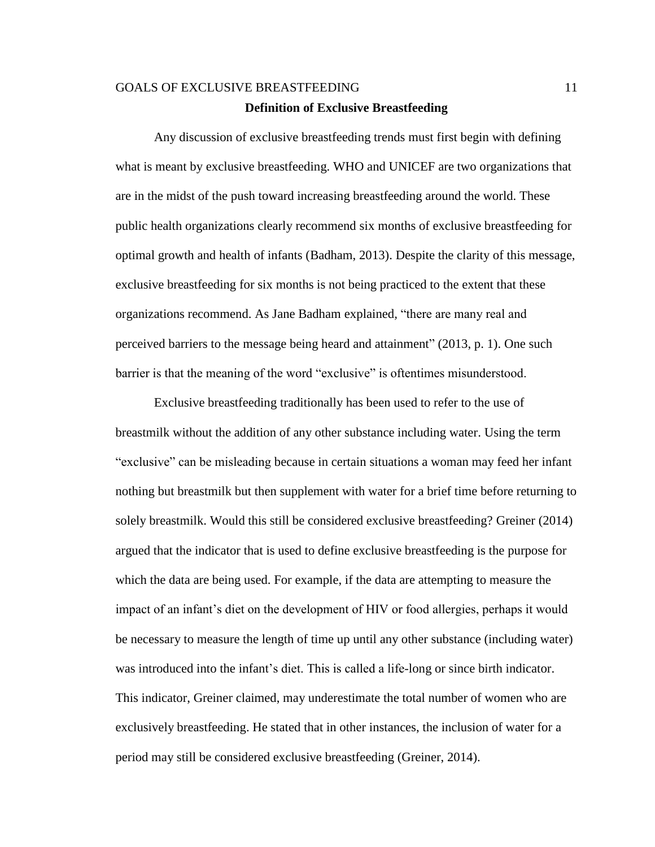## GOALS OF EXCLUSIVE BREASTFEEDING 11 **Definition of Exclusive Breastfeeding**

Any discussion of exclusive breastfeeding trends must first begin with defining what is meant by exclusive breastfeeding. WHO and UNICEF are two organizations that are in the midst of the push toward increasing breastfeeding around the world. These public health organizations clearly recommend six months of exclusive breastfeeding for optimal growth and health of infants (Badham, 2013). Despite the clarity of this message, exclusive breastfeeding for six months is not being practiced to the extent that these organizations recommend. As Jane Badham explained*,* "there are many real and perceived barriers to the message being heard and attainment" (2013, p. 1). One such barrier is that the meaning of the word "exclusive" is oftentimes misunderstood.

Exclusive breastfeeding traditionally has been used to refer to the use of breastmilk without the addition of any other substance including water. Using the term "exclusive" can be misleading because in certain situations a woman may feed her infant nothing but breastmilk but then supplement with water for a brief time before returning to solely breastmilk. Would this still be considered exclusive breastfeeding? Greiner (2014) argued that the indicator that is used to define exclusive breastfeeding is the purpose for which the data are being used. For example, if the data are attempting to measure the impact of an infant's diet on the development of HIV or food allergies, perhaps it would be necessary to measure the length of time up until any other substance (including water) was introduced into the infant's diet. This is called a life-long or since birth indicator. This indicator, Greiner claimed, may underestimate the total number of women who are exclusively breastfeeding. He stated that in other instances, the inclusion of water for a period may still be considered exclusive breastfeeding (Greiner, 2014).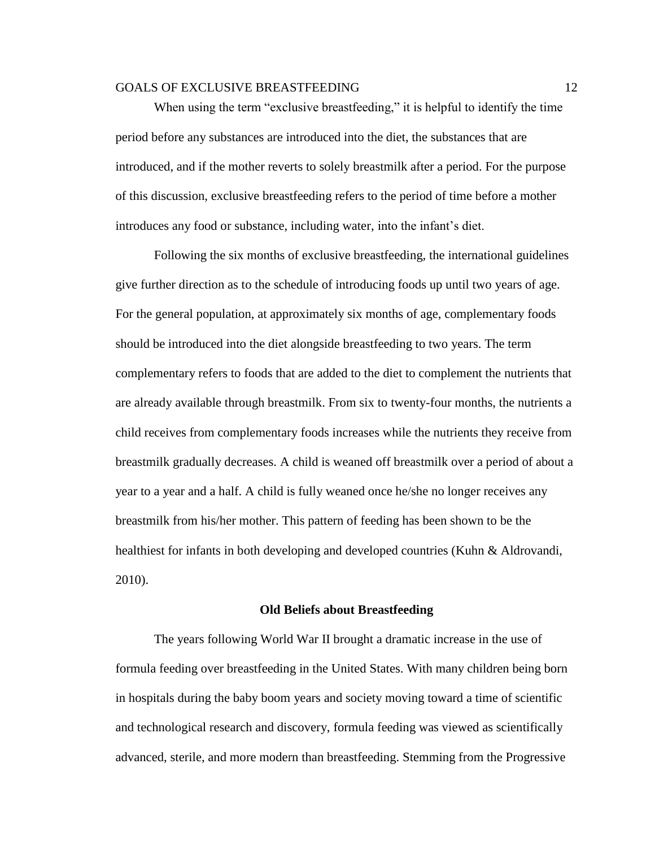When using the term "exclusive breastfeeding," it is helpful to identify the time period before any substances are introduced into the diet, the substances that are introduced, and if the mother reverts to solely breastmilk after a period. For the purpose of this discussion, exclusive breastfeeding refers to the period of time before a mother introduces any food or substance, including water, into the infant's diet.

Following the six months of exclusive breastfeeding, the international guidelines give further direction as to the schedule of introducing foods up until two years of age. For the general population, at approximately six months of age, complementary foods should be introduced into the diet alongside breastfeeding to two years. The term complementary refers to foods that are added to the diet to complement the nutrients that are already available through breastmilk. From six to twenty-four months, the nutrients a child receives from complementary foods increases while the nutrients they receive from breastmilk gradually decreases. A child is weaned off breastmilk over a period of about a year to a year and a half. A child is fully weaned once he/she no longer receives any breastmilk from his/her mother. This pattern of feeding has been shown to be the healthiest for infants in both developing and developed countries (Kuhn & Aldrovandi, 2010).

#### **Old Beliefs about Breastfeeding**

The years following World War II brought a dramatic increase in the use of formula feeding over breastfeeding in the United States. With many children being born in hospitals during the baby boom years and society moving toward a time of scientific and technological research and discovery, formula feeding was viewed as scientifically advanced, sterile, and more modern than breastfeeding. Stemming from the Progressive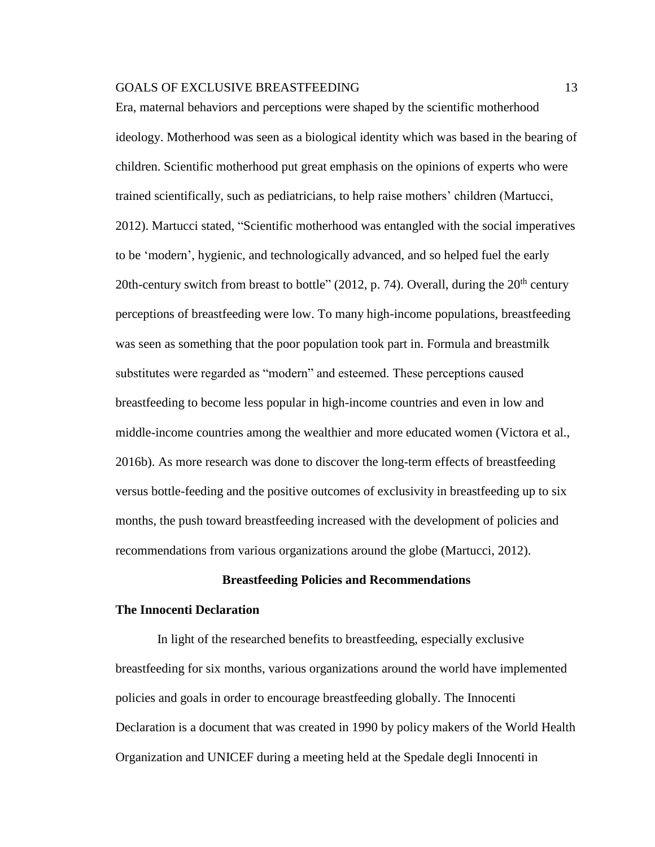Era, maternal behaviors and perceptions were shaped by the scientific motherhood ideology. Motherhood was seen as a biological identity which was based in the bearing of children. Scientific motherhood put great emphasis on the opinions of experts who were trained scientifically, such as pediatricians, to help raise mothers' children (Martucci, 2012). Martucci stated, "Scientific motherhood was entangled with the social imperatives to be 'modern', hygienic, and technologically advanced, and so helped fuel the early 20th-century switch from breast to bottle" (2012, p. 74). Overall, during the  $20<sup>th</sup>$  century perceptions of breastfeeding were low. To many high-income populations, breastfeeding was seen as something that the poor population took part in. Formula and breastmilk substitutes were regarded as "modern" and esteemed. These perceptions caused breastfeeding to become less popular in high-income countries and even in low and middle-income countries among the wealthier and more educated women (Victora et al., 2016b). As more research was done to discover the long-term effects of breastfeeding versus bottle-feeding and the positive outcomes of exclusivity in breastfeeding up to six months, the push toward breastfeeding increased with the development of policies and recommendations from various organizations around the globe (Martucci, 2012).

#### **Breastfeeding Policies and Recommendations**

#### **The Innocenti Declaration**

In light of the researched benefits to breastfeeding, especially exclusive breastfeeding for six months, various organizations around the world have implemented policies and goals in order to encourage breastfeeding globally. The Innocenti Declaration is a document that was created in 1990 by policy makers of the World Health Organization and UNICEF during a meeting held at the Spedale degli Innocenti in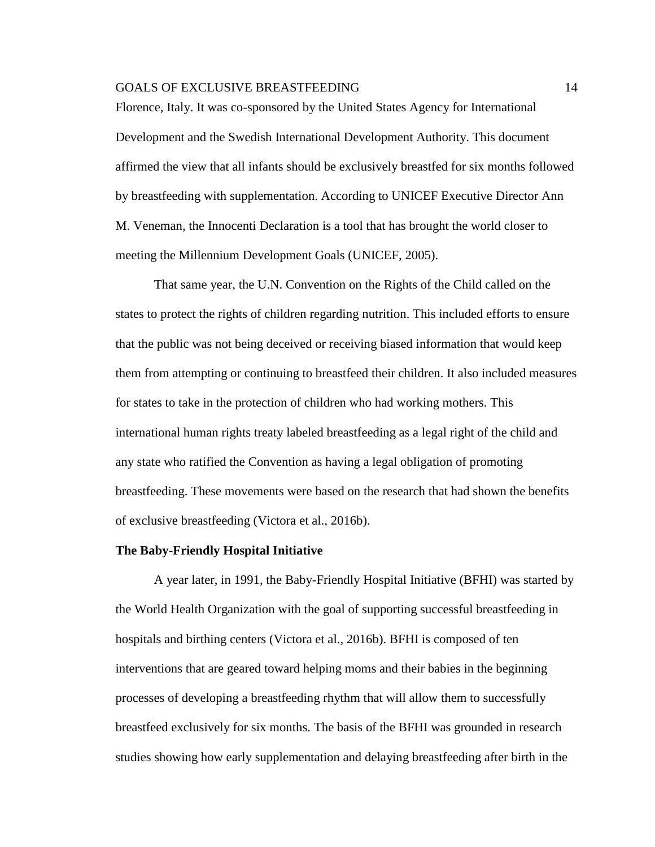Florence, Italy. It was co-sponsored by the United States Agency for International Development and the Swedish International Development Authority. This document affirmed the view that all infants should be exclusively breastfed for six months followed by breastfeeding with supplementation. According to UNICEF Executive Director Ann M. Veneman, the Innocenti Declaration is a tool that has brought the world closer to meeting the Millennium Development Goals (UNICEF, 2005).

That same year, the U.N. Convention on the Rights of the Child called on the states to protect the rights of children regarding nutrition. This included efforts to ensure that the public was not being deceived or receiving biased information that would keep them from attempting or continuing to breastfeed their children. It also included measures for states to take in the protection of children who had working mothers. This international human rights treaty labeled breastfeeding as a legal right of the child and any state who ratified the Convention as having a legal obligation of promoting breastfeeding. These movements were based on the research that had shown the benefits of exclusive breastfeeding (Victora et al., 2016b).

#### **The Baby-Friendly Hospital Initiative**

A year later, in 1991, the Baby-Friendly Hospital Initiative (BFHI) was started by the World Health Organization with the goal of supporting successful breastfeeding in hospitals and birthing centers (Victora et al., 2016b). BFHI is composed of ten interventions that are geared toward helping moms and their babies in the beginning processes of developing a breastfeeding rhythm that will allow them to successfully breastfeed exclusively for six months. The basis of the BFHI was grounded in research studies showing how early supplementation and delaying breastfeeding after birth in the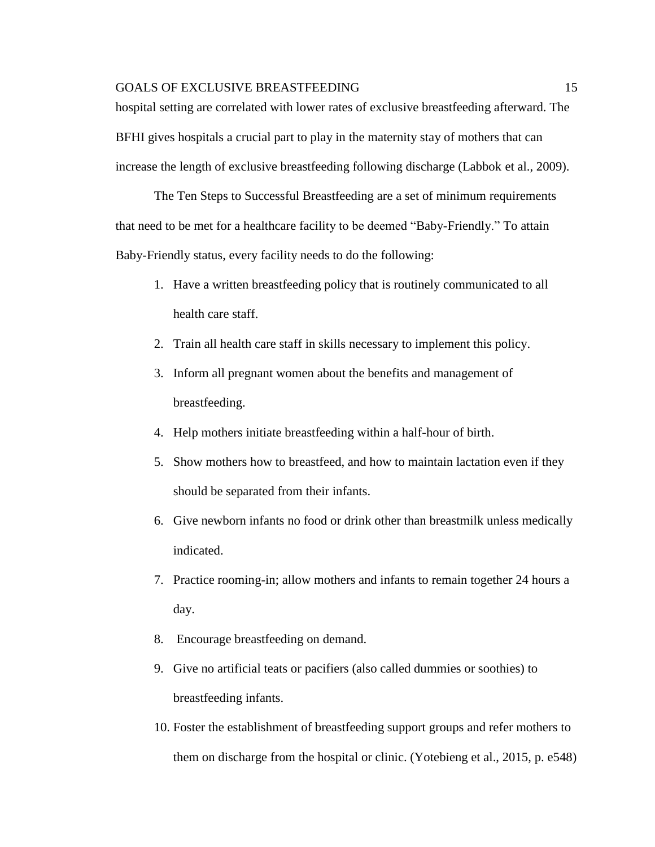hospital setting are correlated with lower rates of exclusive breastfeeding afterward. The BFHI gives hospitals a crucial part to play in the maternity stay of mothers that can increase the length of exclusive breastfeeding following discharge (Labbok et al., 2009).

The Ten Steps to Successful Breastfeeding are a set of minimum requirements that need to be met for a healthcare facility to be deemed "Baby-Friendly." To attain Baby-Friendly status, every facility needs to do the following:

- 1. Have a written breastfeeding policy that is routinely communicated to all health care staff.
- 2. Train all health care staff in skills necessary to implement this policy.
- 3. Inform all pregnant women about the benefits and management of breastfeeding.
- 4. Help mothers initiate breastfeeding within a half-hour of birth.
- 5. Show mothers how to breastfeed, and how to maintain lactation even if they should be separated from their infants.
- 6. Give newborn infants no food or drink other than breastmilk unless medically indicated.
- 7. Practice rooming-in; allow mothers and infants to remain together 24 hours a day.
- 8. Encourage breastfeeding on demand.
- 9. Give no artificial teats or pacifiers (also called dummies or soothies) to breastfeeding infants.
- 10. Foster the establishment of breastfeeding support groups and refer mothers to them on discharge from the hospital or clinic. (Yotebieng et al., 2015, p. e548)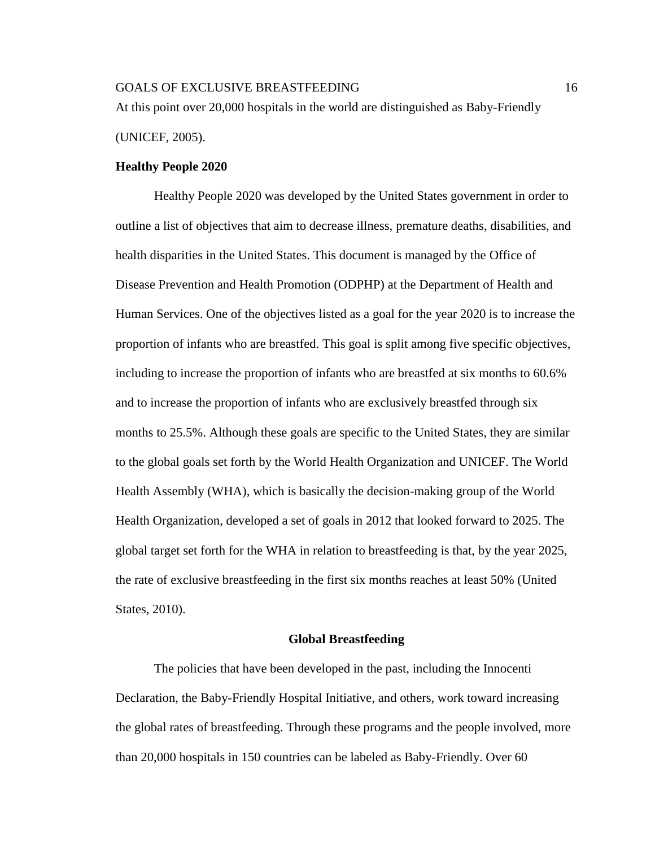# GOALS OF EXCLUSIVE BREASTFEEDING 16 At this point over 20,000 hospitals in the world are distinguished as Baby-Friendly (UNICEF, 2005).

#### **Healthy People 2020**

Healthy People 2020 was developed by the United States government in order to outline a list of objectives that aim to decrease illness, premature deaths, disabilities, and health disparities in the United States. This document is managed by the Office of Disease Prevention and Health Promotion (ODPHP) at the Department of Health and Human Services. One of the objectives listed as a goal for the year 2020 is to increase the proportion of infants who are breastfed. This goal is split among five specific objectives, including to increase the proportion of infants who are breastfed at six months to 60.6% and to increase the proportion of infants who are exclusively breastfed through six months to 25.5%. Although these goals are specific to the United States, they are similar to the global goals set forth by the World Health Organization and UNICEF. The World Health Assembly (WHA), which is basically the decision-making group of the World Health Organization, developed a set of goals in 2012 that looked forward to 2025. The global target set forth for the WHA in relation to breastfeeding is that, by the year 2025, the rate of exclusive breastfeeding in the first six months reaches at least 50% (United States, 2010).

#### **Global Breastfeeding**

The policies that have been developed in the past, including the Innocenti Declaration, the Baby-Friendly Hospital Initiative, and others, work toward increasing the global rates of breastfeeding. Through these programs and the people involved, more than 20,000 hospitals in 150 countries can be labeled as Baby-Friendly. Over 60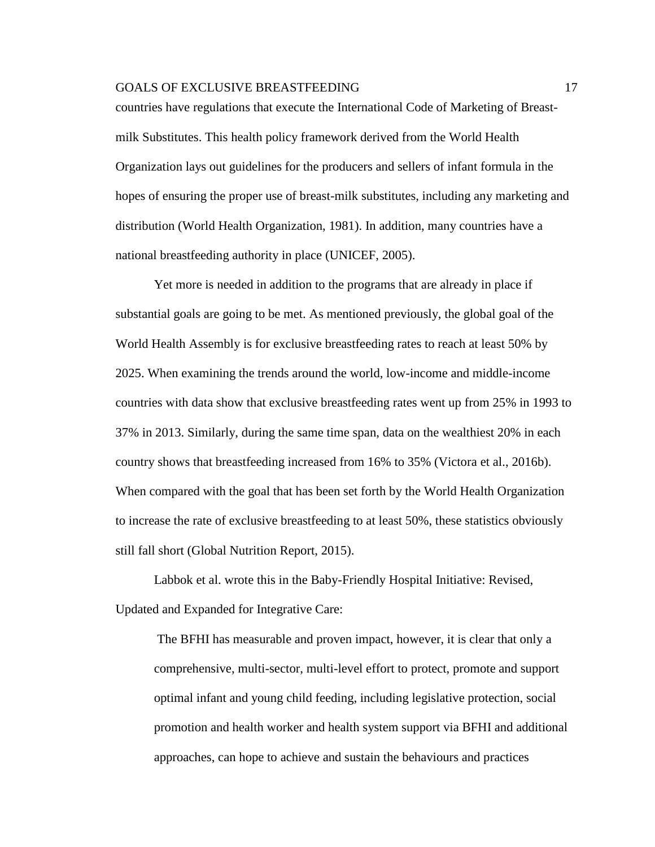countries have regulations that execute the International Code of Marketing of Breastmilk Substitutes. This health policy framework derived from the World Health Organization lays out guidelines for the producers and sellers of infant formula in the hopes of ensuring the proper use of breast-milk substitutes, including any marketing and distribution (World Health Organization, 1981). In addition, many countries have a national breastfeeding authority in place (UNICEF, 2005).

Yet more is needed in addition to the programs that are already in place if substantial goals are going to be met. As mentioned previously, the global goal of the World Health Assembly is for exclusive breastfeeding rates to reach at least 50% by 2025. When examining the trends around the world, low-income and middle-income countries with data show that exclusive breastfeeding rates went up from 25% in 1993 to 37% in 2013. Similarly, during the same time span, data on the wealthiest 20% in each country shows that breastfeeding increased from 16% to 35% (Victora et al., 2016b). When compared with the goal that has been set forth by the World Health Organization to increase the rate of exclusive breastfeeding to at least 50%, these statistics obviously still fall short (Global Nutrition Report, 2015).

Labbok et al. wrote this in the Baby-Friendly Hospital Initiative: Revised, Updated and Expanded for Integrative Care:

The BFHI has measurable and proven impact, however, it is clear that only a comprehensive, multi-sector, multi-level effort to protect, promote and support optimal infant and young child feeding, including legislative protection, social promotion and health worker and health system support via BFHI and additional approaches, can hope to achieve and sustain the behaviours and practices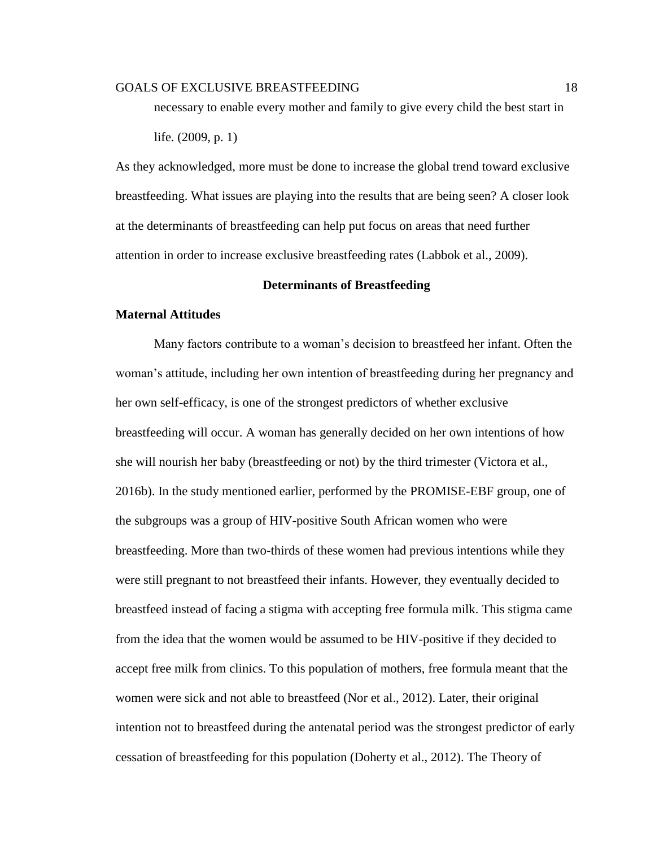necessary to enable every mother and family to give every child the best start in life. (2009, p. 1)

As they acknowledged, more must be done to increase the global trend toward exclusive breastfeeding. What issues are playing into the results that are being seen? A closer look at the determinants of breastfeeding can help put focus on areas that need further attention in order to increase exclusive breastfeeding rates (Labbok et al., 2009).

#### **Determinants of Breastfeeding**

#### **Maternal Attitudes**

Many factors contribute to a woman's decision to breastfeed her infant. Often the woman's attitude, including her own intention of breastfeeding during her pregnancy and her own self-efficacy, is one of the strongest predictors of whether exclusive breastfeeding will occur. A woman has generally decided on her own intentions of how she will nourish her baby (breastfeeding or not) by the third trimester (Victora et al., 2016b). In the study mentioned earlier, performed by the PROMISE-EBF group, one of the subgroups was a group of HIV-positive South African women who were breastfeeding. More than two-thirds of these women had previous intentions while they were still pregnant to not breastfeed their infants. However, they eventually decided to breastfeed instead of facing a stigma with accepting free formula milk. This stigma came from the idea that the women would be assumed to be HIV-positive if they decided to accept free milk from clinics. To this population of mothers, free formula meant that the women were sick and not able to breastfeed (Nor et al., 2012). Later, their original intention not to breastfeed during the antenatal period was the strongest predictor of early cessation of breastfeeding for this population (Doherty et al., 2012). The Theory of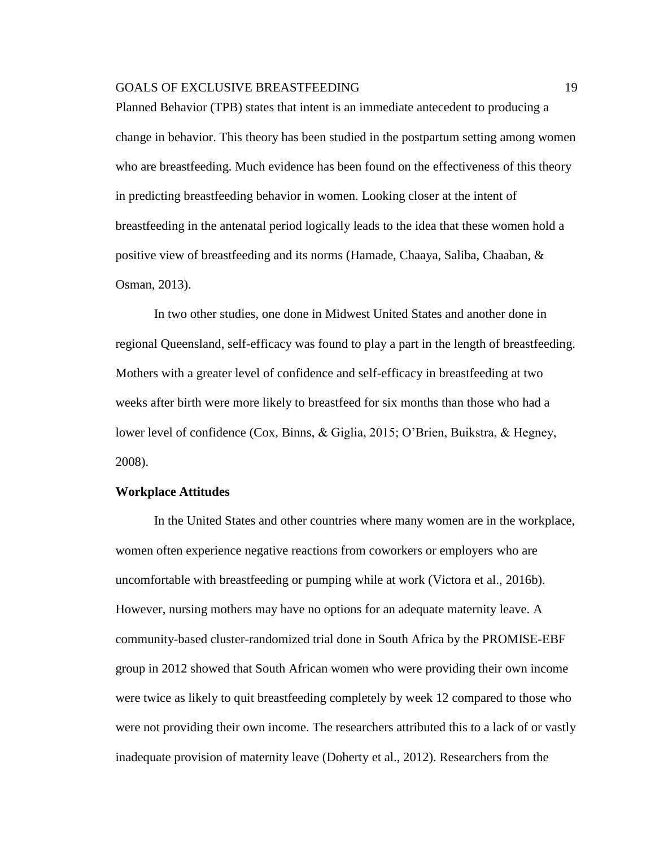Planned Behavior (TPB) states that intent is an immediate antecedent to producing a change in behavior. This theory has been studied in the postpartum setting among women who are breastfeeding. Much evidence has been found on the effectiveness of this theory in predicting breastfeeding behavior in women. Looking closer at the intent of breastfeeding in the antenatal period logically leads to the idea that these women hold a positive view of breastfeeding and its norms (Hamade, Chaaya, Saliba, Chaaban, & Osman, 2013).

In two other studies, one done in Midwest United States and another done in regional Queensland, self-efficacy was found to play a part in the length of breastfeeding. Mothers with a greater level of confidence and self-efficacy in breastfeeding at two weeks after birth were more likely to breastfeed for six months than those who had a lower level of confidence (Cox, Binns, & Giglia, 2015; O'Brien, Buikstra, & Hegney, 2008).

#### **Workplace Attitudes**

In the United States and other countries where many women are in the workplace, women often experience negative reactions from coworkers or employers who are uncomfortable with breastfeeding or pumping while at work (Victora et al., 2016b). However, nursing mothers may have no options for an adequate maternity leave. A community-based cluster-randomized trial done in South Africa by the PROMISE-EBF group in 2012 showed that South African women who were providing their own income were twice as likely to quit breastfeeding completely by week 12 compared to those who were not providing their own income. The researchers attributed this to a lack of or vastly inadequate provision of maternity leave (Doherty et al., 2012). Researchers from the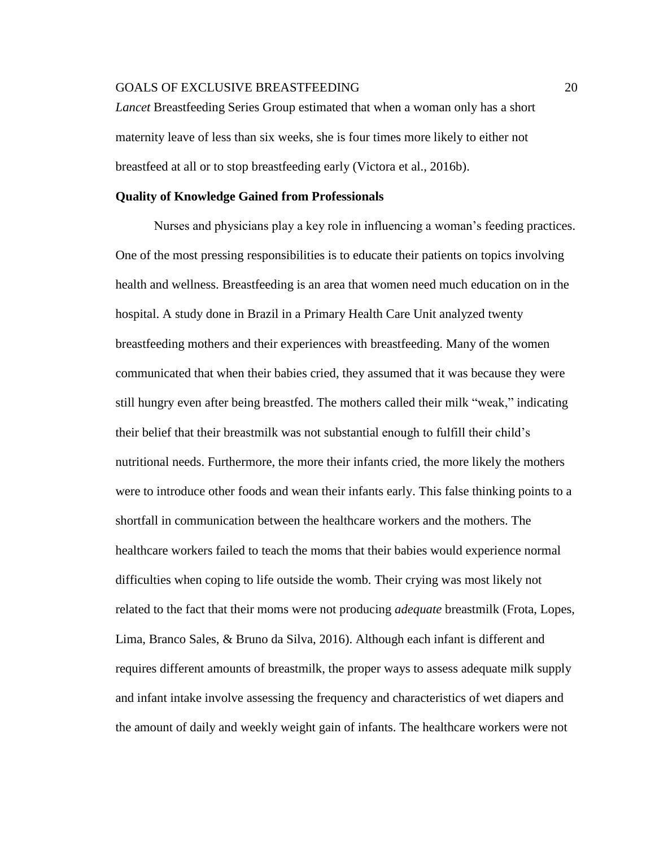*Lancet* Breastfeeding Series Group estimated that when a woman only has a short maternity leave of less than six weeks, she is four times more likely to either not breastfeed at all or to stop breastfeeding early (Victora et al., 2016b).

#### **Quality of Knowledge Gained from Professionals**

Nurses and physicians play a key role in influencing a woman's feeding practices. One of the most pressing responsibilities is to educate their patients on topics involving health and wellness. Breastfeeding is an area that women need much education on in the hospital. A study done in Brazil in a Primary Health Care Unit analyzed twenty breastfeeding mothers and their experiences with breastfeeding. Many of the women communicated that when their babies cried, they assumed that it was because they were still hungry even after being breastfed. The mothers called their milk "weak," indicating their belief that their breastmilk was not substantial enough to fulfill their child's nutritional needs. Furthermore, the more their infants cried, the more likely the mothers were to introduce other foods and wean their infants early. This false thinking points to a shortfall in communication between the healthcare workers and the mothers. The healthcare workers failed to teach the moms that their babies would experience normal difficulties when coping to life outside the womb. Their crying was most likely not related to the fact that their moms were not producing *adequate* breastmilk (Frota, Lopes, Lima, Branco Sales, & Bruno da Silva, 2016). Although each infant is different and requires different amounts of breastmilk, the proper ways to assess adequate milk supply and infant intake involve assessing the frequency and characteristics of wet diapers and the amount of daily and weekly weight gain of infants. The healthcare workers were not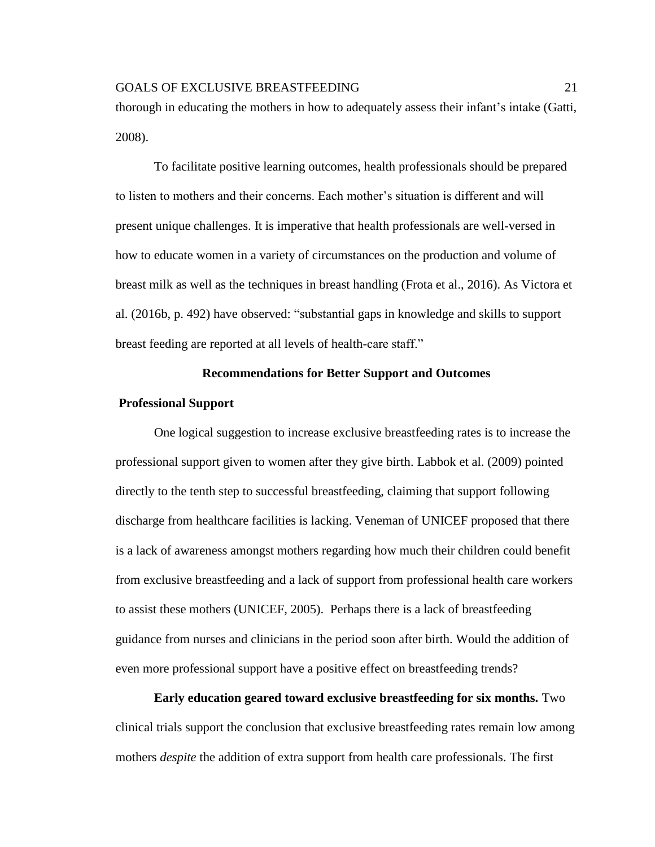thorough in educating the mothers in how to adequately assess their infant's intake (Gatti, 2008).

To facilitate positive learning outcomes, health professionals should be prepared to listen to mothers and their concerns. Each mother's situation is different and will present unique challenges. It is imperative that health professionals are well-versed in how to educate women in a variety of circumstances on the production and volume of breast milk as well as the techniques in breast handling (Frota et al., 2016). As Victora et al. (2016b, p. 492) have observed: "substantial gaps in knowledge and skills to support breast feeding are reported at all levels of health-care staff."

#### **Recommendations for Better Support and Outcomes**

#### **Professional Support**

One logical suggestion to increase exclusive breastfeeding rates is to increase the professional support given to women after they give birth. Labbok et al. (2009) pointed directly to the tenth step to successful breastfeeding, claiming that support following discharge from healthcare facilities is lacking. Veneman of UNICEF proposed that there is a lack of awareness amongst mothers regarding how much their children could benefit from exclusive breastfeeding and a lack of support from professional health care workers to assist these mothers (UNICEF, 2005). Perhaps there is a lack of breastfeeding guidance from nurses and clinicians in the period soon after birth. Would the addition of even more professional support have a positive effect on breastfeeding trends?

**Early education geared toward exclusive breastfeeding for six months.** Two clinical trials support the conclusion that exclusive breastfeeding rates remain low among mothers *despite* the addition of extra support from health care professionals. The first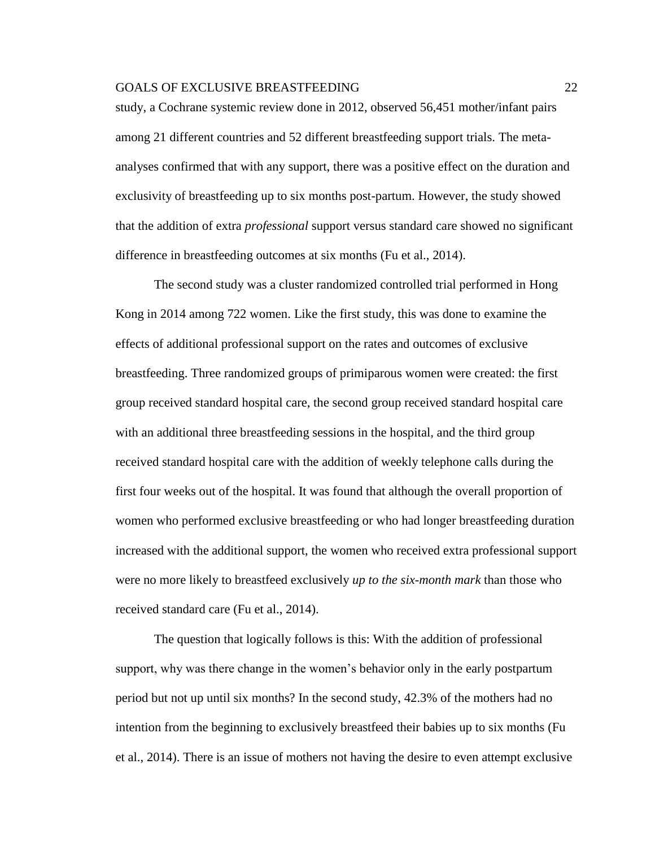study, a Cochrane systemic review done in 2012, observed 56,451 mother/infant pairs among 21 different countries and 52 different breastfeeding support trials. The metaanalyses confirmed that with any support, there was a positive effect on the duration and exclusivity of breastfeeding up to six months post-partum. However, the study showed that the addition of extra *professional* support versus standard care showed no significant difference in breastfeeding outcomes at six months (Fu et al., 2014).

The second study was a cluster randomized controlled trial performed in Hong Kong in 2014 among 722 women. Like the first study, this was done to examine the effects of additional professional support on the rates and outcomes of exclusive breastfeeding. Three randomized groups of primiparous women were created: the first group received standard hospital care, the second group received standard hospital care with an additional three breastfeeding sessions in the hospital, and the third group received standard hospital care with the addition of weekly telephone calls during the first four weeks out of the hospital. It was found that although the overall proportion of women who performed exclusive breastfeeding or who had longer breastfeeding duration increased with the additional support, the women who received extra professional support were no more likely to breastfeed exclusively *up to the six-month mark* than those who received standard care (Fu et al., 2014).

The question that logically follows is this: With the addition of professional support, why was there change in the women's behavior only in the early postpartum period but not up until six months? In the second study, 42.3% of the mothers had no intention from the beginning to exclusively breastfeed their babies up to six months (Fu et al., 2014). There is an issue of mothers not having the desire to even attempt exclusive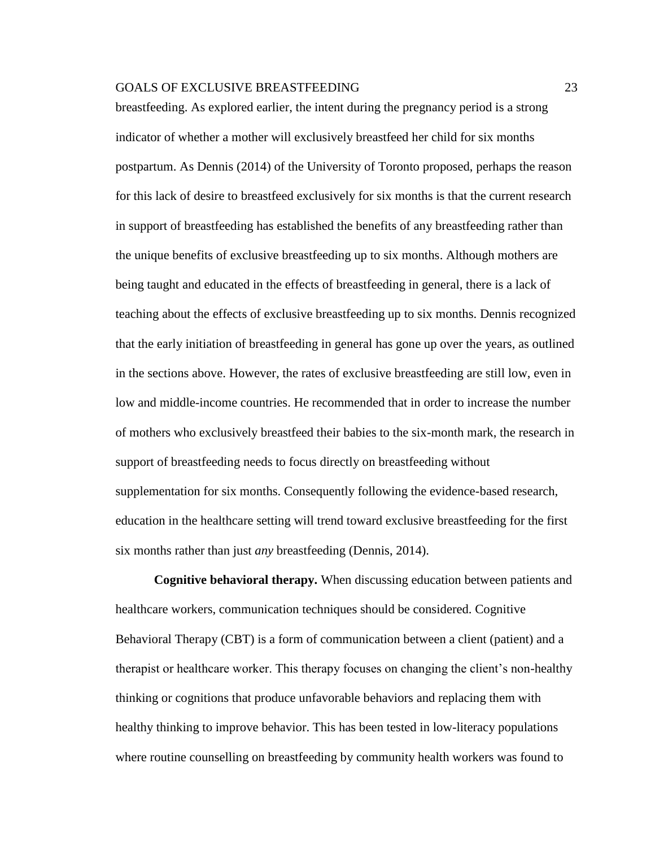breastfeeding. As explored earlier, the intent during the pregnancy period is a strong indicator of whether a mother will exclusively breastfeed her child for six months postpartum. As Dennis (2014) of the University of Toronto proposed, perhaps the reason for this lack of desire to breastfeed exclusively for six months is that the current research in support of breastfeeding has established the benefits of any breastfeeding rather than the unique benefits of exclusive breastfeeding up to six months. Although mothers are being taught and educated in the effects of breastfeeding in general, there is a lack of teaching about the effects of exclusive breastfeeding up to six months. Dennis recognized that the early initiation of breastfeeding in general has gone up over the years, as outlined in the sections above. However, the rates of exclusive breastfeeding are still low, even in low and middle-income countries. He recommended that in order to increase the number of mothers who exclusively breastfeed their babies to the six-month mark, the research in support of breastfeeding needs to focus directly on breastfeeding without supplementation for six months. Consequently following the evidence-based research, education in the healthcare setting will trend toward exclusive breastfeeding for the first six months rather than just *any* breastfeeding (Dennis, 2014).

**Cognitive behavioral therapy.** When discussing education between patients and healthcare workers, communication techniques should be considered. Cognitive Behavioral Therapy (CBT) is a form of communication between a client (patient) and a therapist or healthcare worker. This therapy focuses on changing the client's non-healthy thinking or cognitions that produce unfavorable behaviors and replacing them with healthy thinking to improve behavior. This has been tested in low-literacy populations where routine counselling on breastfeeding by community health workers was found to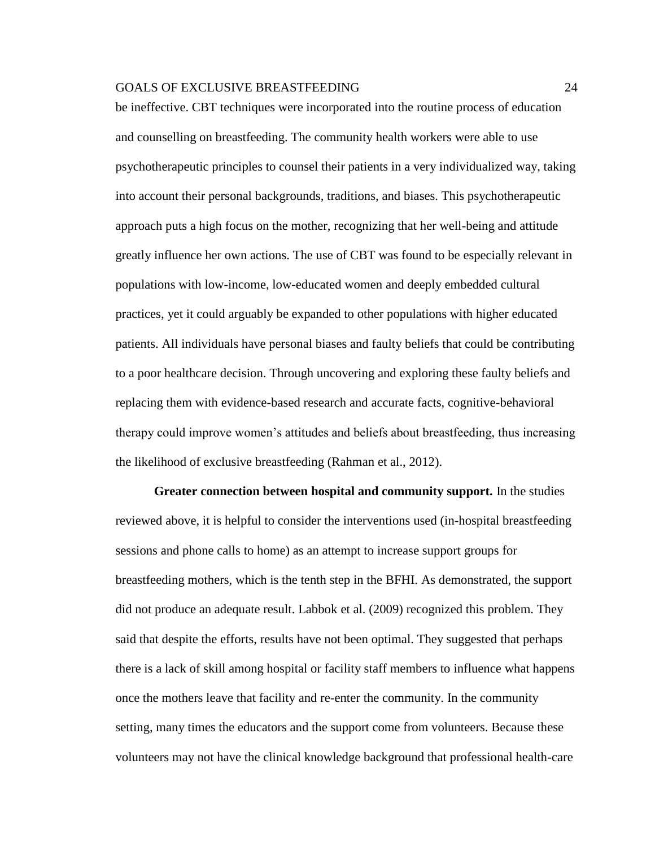be ineffective. CBT techniques were incorporated into the routine process of education and counselling on breastfeeding. The community health workers were able to use psychotherapeutic principles to counsel their patients in a very individualized way, taking into account their personal backgrounds, traditions, and biases. This psychotherapeutic approach puts a high focus on the mother, recognizing that her well-being and attitude greatly influence her own actions. The use of CBT was found to be especially relevant in populations with low-income, low-educated women and deeply embedded cultural practices, yet it could arguably be expanded to other populations with higher educated patients. All individuals have personal biases and faulty beliefs that could be contributing to a poor healthcare decision. Through uncovering and exploring these faulty beliefs and replacing them with evidence-based research and accurate facts, cognitive-behavioral therapy could improve women's attitudes and beliefs about breastfeeding, thus increasing the likelihood of exclusive breastfeeding (Rahman et al., 2012).

**Greater connection between hospital and community support.** In the studies reviewed above, it is helpful to consider the interventions used (in-hospital breastfeeding sessions and phone calls to home) as an attempt to increase support groups for breastfeeding mothers, which is the tenth step in the BFHI. As demonstrated, the support did not produce an adequate result. Labbok et al. (2009) recognized this problem. They said that despite the efforts, results have not been optimal. They suggested that perhaps there is a lack of skill among hospital or facility staff members to influence what happens once the mothers leave that facility and re-enter the community. In the community setting, many times the educators and the support come from volunteers. Because these volunteers may not have the clinical knowledge background that professional health-care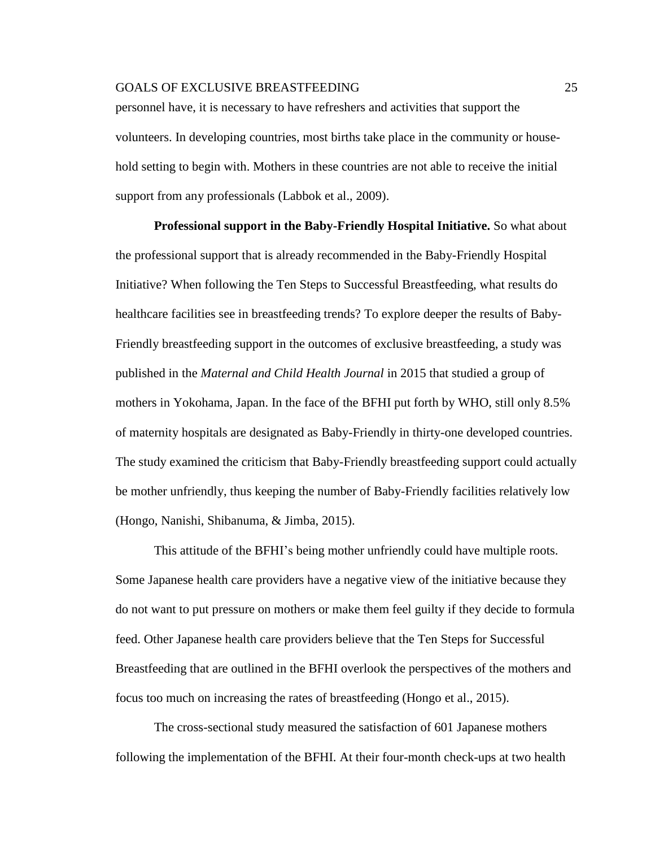personnel have, it is necessary to have refreshers and activities that support the volunteers. In developing countries, most births take place in the community or household setting to begin with. Mothers in these countries are not able to receive the initial support from any professionals (Labbok et al., 2009).

**Professional support in the Baby-Friendly Hospital Initiative.** So what about the professional support that is already recommended in the Baby-Friendly Hospital Initiative? When following the Ten Steps to Successful Breastfeeding, what results do healthcare facilities see in breastfeeding trends? To explore deeper the results of Baby-Friendly breastfeeding support in the outcomes of exclusive breastfeeding, a study was published in the *Maternal and Child Health Journal* in 2015 that studied a group of mothers in Yokohama, Japan. In the face of the BFHI put forth by WHO, still only 8.5% of maternity hospitals are designated as Baby-Friendly in thirty-one developed countries. The study examined the criticism that Baby-Friendly breastfeeding support could actually be mother unfriendly, thus keeping the number of Baby-Friendly facilities relatively low (Hongo, Nanishi, Shibanuma, & Jimba, 2015).

This attitude of the BFHI's being mother unfriendly could have multiple roots. Some Japanese health care providers have a negative view of the initiative because they do not want to put pressure on mothers or make them feel guilty if they decide to formula feed. Other Japanese health care providers believe that the Ten Steps for Successful Breastfeeding that are outlined in the BFHI overlook the perspectives of the mothers and focus too much on increasing the rates of breastfeeding (Hongo et al., 2015).

The cross-sectional study measured the satisfaction of 601 Japanese mothers following the implementation of the BFHI. At their four-month check-ups at two health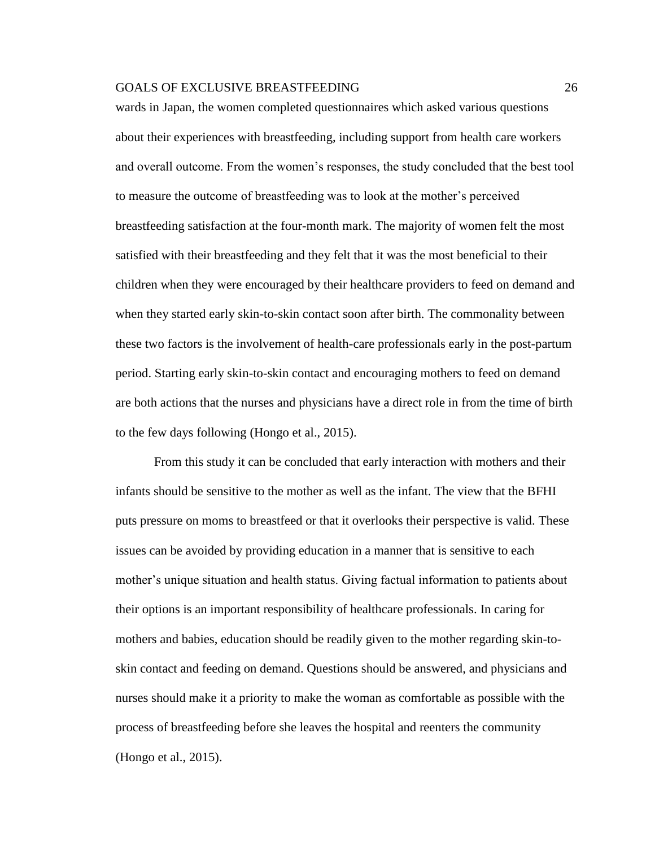wards in Japan, the women completed questionnaires which asked various questions about their experiences with breastfeeding, including support from health care workers and overall outcome. From the women's responses, the study concluded that the best tool to measure the outcome of breastfeeding was to look at the mother's perceived breastfeeding satisfaction at the four-month mark. The majority of women felt the most satisfied with their breastfeeding and they felt that it was the most beneficial to their children when they were encouraged by their healthcare providers to feed on demand and when they started early skin-to-skin contact soon after birth. The commonality between these two factors is the involvement of health-care professionals early in the post-partum period. Starting early skin-to-skin contact and encouraging mothers to feed on demand are both actions that the nurses and physicians have a direct role in from the time of birth to the few days following (Hongo et al., 2015).

From this study it can be concluded that early interaction with mothers and their infants should be sensitive to the mother as well as the infant. The view that the BFHI puts pressure on moms to breastfeed or that it overlooks their perspective is valid. These issues can be avoided by providing education in a manner that is sensitive to each mother's unique situation and health status. Giving factual information to patients about their options is an important responsibility of healthcare professionals. In caring for mothers and babies, education should be readily given to the mother regarding skin-toskin contact and feeding on demand. Questions should be answered, and physicians and nurses should make it a priority to make the woman as comfortable as possible with the process of breastfeeding before she leaves the hospital and reenters the community (Hongo et al., 2015).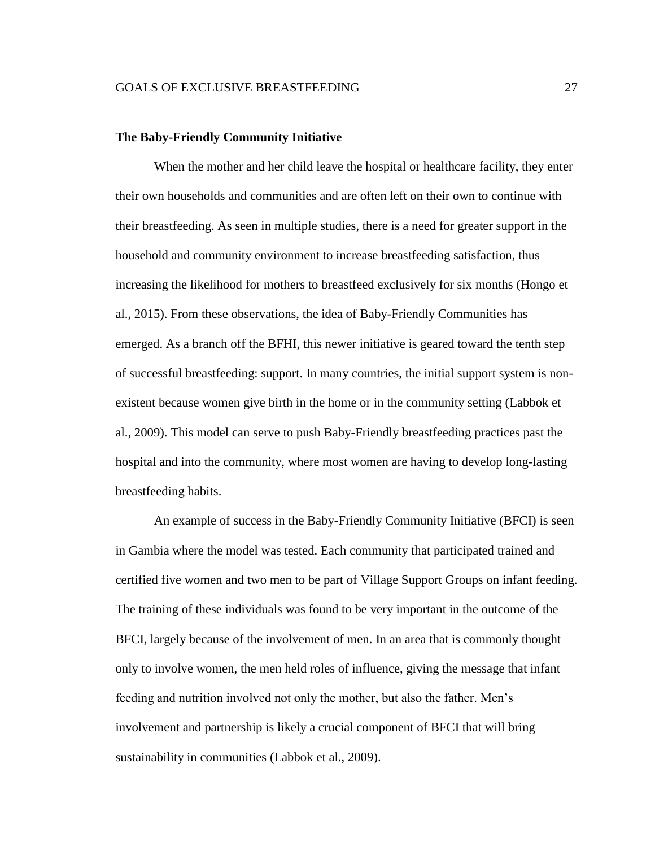#### **The Baby-Friendly Community Initiative**

When the mother and her child leave the hospital or healthcare facility, they enter their own households and communities and are often left on their own to continue with their breastfeeding. As seen in multiple studies, there is a need for greater support in the household and community environment to increase breastfeeding satisfaction, thus increasing the likelihood for mothers to breastfeed exclusively for six months (Hongo et al., 2015). From these observations, the idea of Baby-Friendly Communities has emerged. As a branch off the BFHI, this newer initiative is geared toward the tenth step of successful breastfeeding: support. In many countries, the initial support system is nonexistent because women give birth in the home or in the community setting (Labbok et al., 2009). This model can serve to push Baby-Friendly breastfeeding practices past the hospital and into the community, where most women are having to develop long-lasting breastfeeding habits.

An example of success in the Baby-Friendly Community Initiative (BFCI) is seen in Gambia where the model was tested. Each community that participated trained and certified five women and two men to be part of Village Support Groups on infant feeding. The training of these individuals was found to be very important in the outcome of the BFCI, largely because of the involvement of men. In an area that is commonly thought only to involve women, the men held roles of influence, giving the message that infant feeding and nutrition involved not only the mother, but also the father. Men's involvement and partnership is likely a crucial component of BFCI that will bring sustainability in communities (Labbok et al., 2009).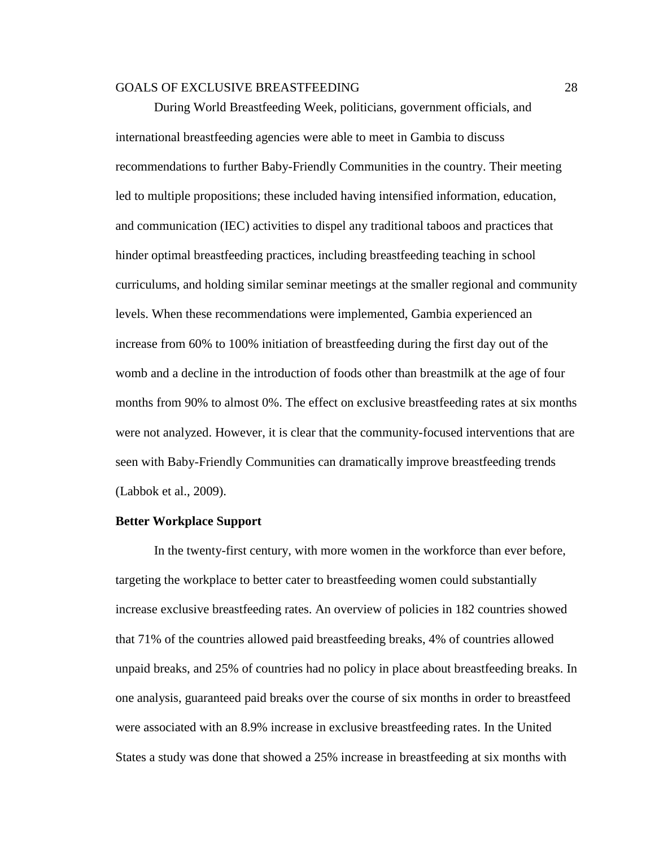During World Breastfeeding Week, politicians, government officials, and international breastfeeding agencies were able to meet in Gambia to discuss recommendations to further Baby-Friendly Communities in the country. Their meeting led to multiple propositions; these included having intensified information, education, and communication (IEC) activities to dispel any traditional taboos and practices that hinder optimal breastfeeding practices, including breastfeeding teaching in school curriculums, and holding similar seminar meetings at the smaller regional and community levels. When these recommendations were implemented, Gambia experienced an increase from 60% to 100% initiation of breastfeeding during the first day out of the womb and a decline in the introduction of foods other than breastmilk at the age of four months from 90% to almost 0%. The effect on exclusive breastfeeding rates at six months were not analyzed. However, it is clear that the community-focused interventions that are seen with Baby-Friendly Communities can dramatically improve breastfeeding trends (Labbok et al., 2009).

#### **Better Workplace Support**

In the twenty-first century, with more women in the workforce than ever before, targeting the workplace to better cater to breastfeeding women could substantially increase exclusive breastfeeding rates. An overview of policies in 182 countries showed that 71% of the countries allowed paid breastfeeding breaks, 4% of countries allowed unpaid breaks, and 25% of countries had no policy in place about breastfeeding breaks. In one analysis, guaranteed paid breaks over the course of six months in order to breastfeed were associated with an 8.9% increase in exclusive breastfeeding rates. In the United States a study was done that showed a 25% increase in breastfeeding at six months with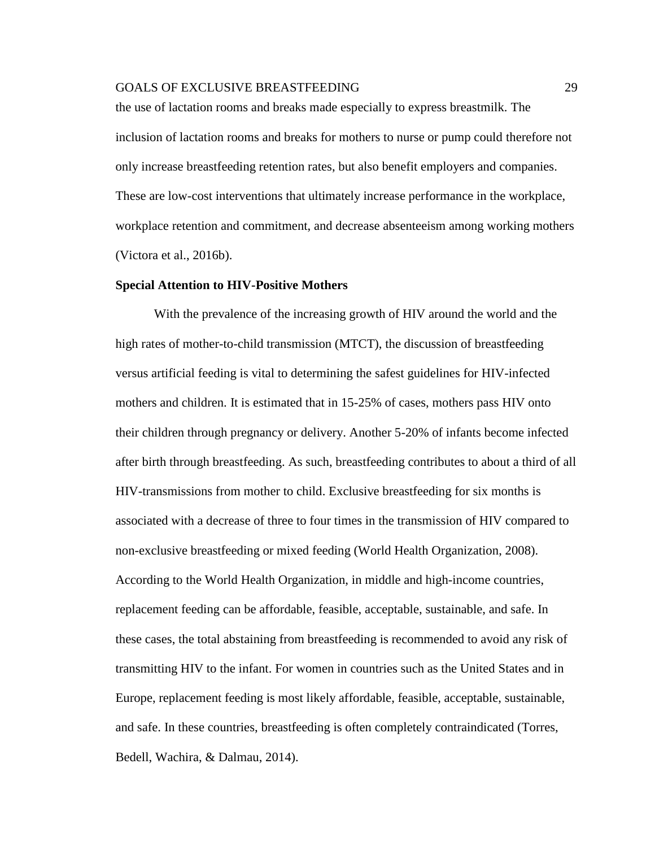the use of lactation rooms and breaks made especially to express breastmilk. The inclusion of lactation rooms and breaks for mothers to nurse or pump could therefore not only increase breastfeeding retention rates, but also benefit employers and companies. These are low-cost interventions that ultimately increase performance in the workplace, workplace retention and commitment, and decrease absenteeism among working mothers (Victora et al., 2016b).

#### **Special Attention to HIV-Positive Mothers**

With the prevalence of the increasing growth of HIV around the world and the high rates of mother-to-child transmission (MTCT), the discussion of breastfeeding versus artificial feeding is vital to determining the safest guidelines for HIV-infected mothers and children. It is estimated that in 15-25% of cases, mothers pass HIV onto their children through pregnancy or delivery. Another 5-20% of infants become infected after birth through breastfeeding. As such, breastfeeding contributes to about a third of all HIV-transmissions from mother to child. Exclusive breastfeeding for six months is associated with a decrease of three to four times in the transmission of HIV compared to non-exclusive breastfeeding or mixed feeding (World Health Organization, 2008). According to the World Health Organization, in middle and high-income countries, replacement feeding can be affordable, feasible, acceptable, sustainable, and safe. In these cases, the total abstaining from breastfeeding is recommended to avoid any risk of transmitting HIV to the infant. For women in countries such as the United States and in Europe, replacement feeding is most likely affordable, feasible, acceptable, sustainable, and safe. In these countries, breastfeeding is often completely contraindicated (Torres, Bedell, Wachira, & Dalmau, 2014).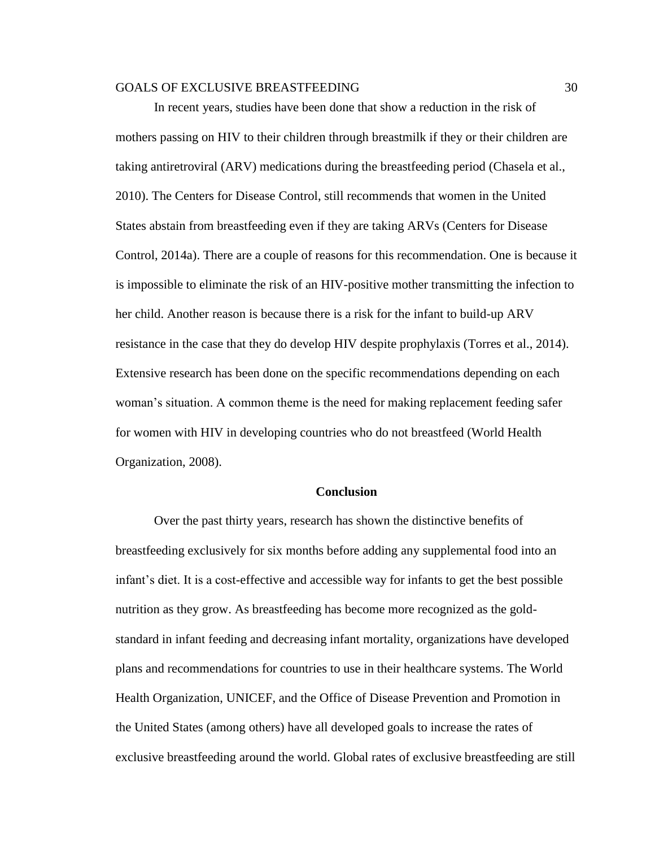In recent years, studies have been done that show a reduction in the risk of mothers passing on HIV to their children through breastmilk if they or their children are taking antiretroviral (ARV) medications during the breastfeeding period (Chasela et al., 2010). The Centers for Disease Control, still recommends that women in the United States abstain from breastfeeding even if they are taking ARVs (Centers for Disease Control, 2014a). There are a couple of reasons for this recommendation. One is because it is impossible to eliminate the risk of an HIV-positive mother transmitting the infection to her child. Another reason is because there is a risk for the infant to build-up ARV resistance in the case that they do develop HIV despite prophylaxis (Torres et al., 2014). Extensive research has been done on the specific recommendations depending on each woman's situation. A common theme is the need for making replacement feeding safer for women with HIV in developing countries who do not breastfeed (World Health Organization, 2008).

#### **Conclusion**

Over the past thirty years, research has shown the distinctive benefits of breastfeeding exclusively for six months before adding any supplemental food into an infant's diet. It is a cost-effective and accessible way for infants to get the best possible nutrition as they grow. As breastfeeding has become more recognized as the goldstandard in infant feeding and decreasing infant mortality, organizations have developed plans and recommendations for countries to use in their healthcare systems. The World Health Organization, UNICEF, and the Office of Disease Prevention and Promotion in the United States (among others) have all developed goals to increase the rates of exclusive breastfeeding around the world. Global rates of exclusive breastfeeding are still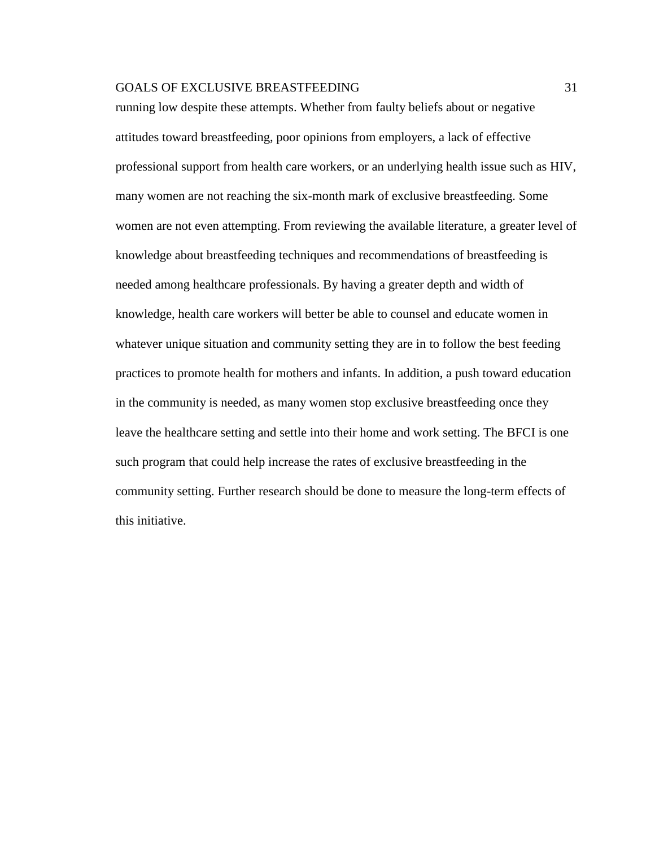running low despite these attempts. Whether from faulty beliefs about or negative attitudes toward breastfeeding, poor opinions from employers, a lack of effective professional support from health care workers, or an underlying health issue such as HIV, many women are not reaching the six-month mark of exclusive breastfeeding. Some women are not even attempting. From reviewing the available literature, a greater level of knowledge about breastfeeding techniques and recommendations of breastfeeding is needed among healthcare professionals. By having a greater depth and width of knowledge, health care workers will better be able to counsel and educate women in whatever unique situation and community setting they are in to follow the best feeding practices to promote health for mothers and infants. In addition, a push toward education in the community is needed, as many women stop exclusive breastfeeding once they leave the healthcare setting and settle into their home and work setting. The BFCI is one such program that could help increase the rates of exclusive breastfeeding in the community setting. Further research should be done to measure the long-term effects of this initiative.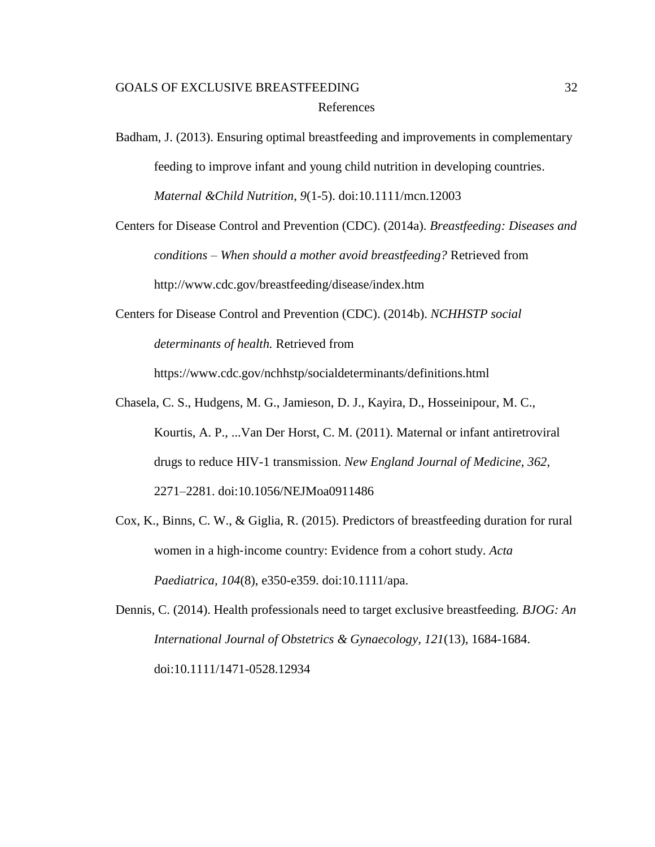Badham, J. (2013). Ensuring optimal breastfeeding and improvements in complementary feeding to improve infant and young child nutrition in developing countries. *Maternal &Child Nutrition*, *9*(1-5). doi:10.1111/mcn.12003

Centers for Disease Control and Prevention (CDC). (2014a). *Breastfeeding: Diseases and conditions – When should a mother avoid breastfeeding?* Retrieved from http://www.cdc.gov/breastfeeding/disease/index.htm

Centers for Disease Control and Prevention (CDC). (2014b). *NCHHSTP social determinants of health.* Retrieved from

<https://www.cdc.gov/nchhstp/socialdeterminants/definitions.html>

- Chasela, C. S., Hudgens, M. G., Jamieson, D. J., Kayira, D., Hosseinipour, M. C., Kourtis, A. P., ...Van Der Horst, C. M. (2011). Maternal or infant antiretroviral drugs to reduce HIV-1 transmission. *New England Journal of Medicine*, *362*, 2271–2281. doi:10.1056/NEJMoa0911486
- Cox, K., Binns, C. W., & Giglia, R. (2015). Predictors of breastfeeding duration for rural women in a high‐income country: Evidence from a cohort study. *Acta Paediatrica, 104*(8), e350-e359. doi:10.1111/apa.
- Dennis, C. (2014). Health professionals need to target exclusive breastfeeding. *BJOG: An International Journal of Obstetrics & Gynaecology, 121*(13), 1684-1684. doi:10.1111/1471-0528.12934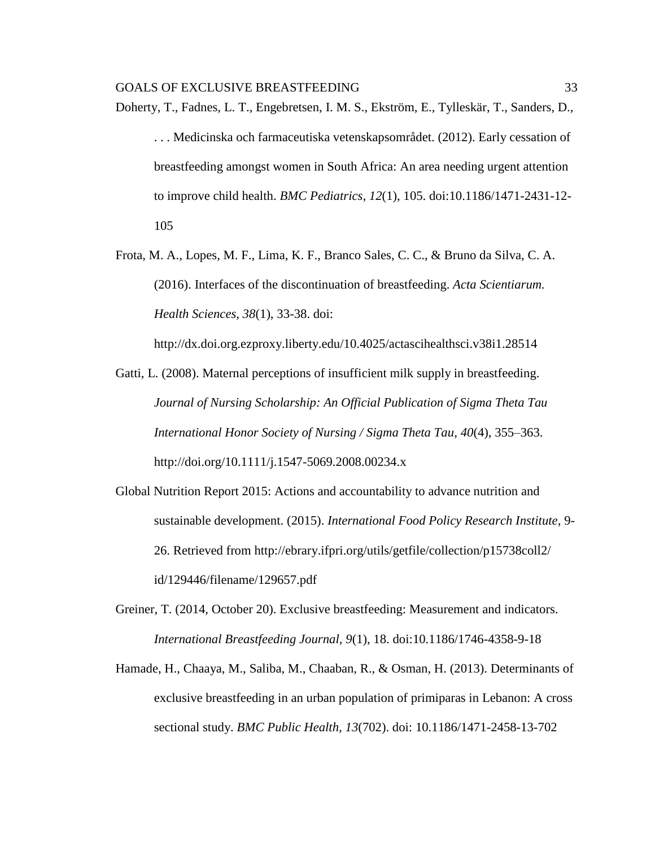- Doherty, T., Fadnes, L. T., Engebretsen, I. M. S., Ekström, E., Tylleskär, T., Sanders, D., . . . Medicinska och farmaceutiska vetenskapsområdet. (2012). Early cessation of breastfeeding amongst women in South Africa: An area needing urgent attention to improve child health. *BMC Pediatrics, 12*(1), 105. doi:10.1186/1471-2431-12- 105
- Frota, M. A., Lopes, M. F., Lima, K. F., Branco Sales, C. C., & Bruno da Silva, C. A. (2016). Interfaces of the discontinuation of breastfeeding. *Acta Scientiarum. Health Sciences, 38*(1), 33-38. doi:

http://dx.doi.org.ezproxy.liberty.edu/10.4025/actascihealthsci.v38i1.28514

- Gatti, L. (2008). Maternal perceptions of insufficient milk supply in breastfeeding. *Journal of Nursing Scholarship: An Official Publication of Sigma Theta Tau International Honor Society of Nursing / Sigma Theta Tau*, *40*(4), 355–363. http://doi.org/10.1111/j.1547-5069.2008.00234.x
- Global Nutrition Report 2015: Actions and accountability to advance nutrition and sustainable development. (2015). *International Food Policy Research Institute,* 9- 26. Retrieved from http://ebrary.ifpri.org/utils/getfile/collection/p15738coll2/ id/129446/filename/129657.pdf
- Greiner, T. (2014, October 20). Exclusive breastfeeding: Measurement and indicators. *International Breastfeeding Journal, 9*(1), 18. doi:10.1186/1746-4358-9-18
- Hamade, H., Chaaya, M., Saliba, M., Chaaban, R., & Osman, H. (2013). Determinants of exclusive breastfeeding in an urban population of primiparas in Lebanon: A cross sectional study. *BMC Public Health, 13*(702). doi: 10.1186/1471-2458-13-702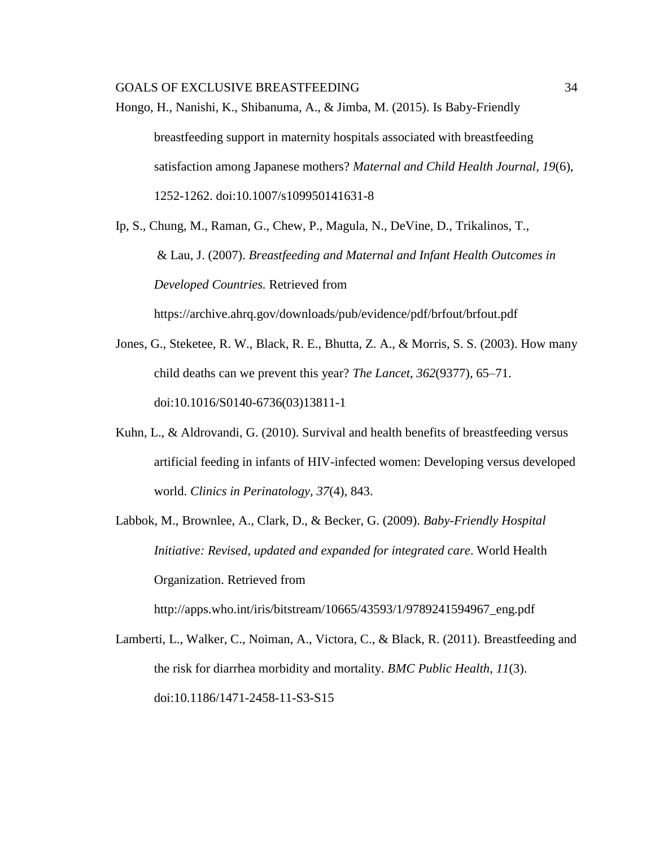Hongo, H., Nanishi, K., Shibanuma, A., & Jimba, M. (2015). Is Baby-Friendly breastfeeding support in maternity hospitals associated with breastfeeding satisfaction among Japanese mothers? *Maternal and Child Health Journal, 19*(6), 1252-1262. doi:10.1007/s109950141631-8

Ip, S., Chung, M., Raman, G., Chew, P., Magula, N., DeVine, D., Trikalinos, T., & Lau, J. (2007). *Breastfeeding and Maternal and Infant Health Outcomes in Developed Countries.* Retrieved from

https://archive.ahrq.gov/downloads/pub/evidence/pdf/brfout/brfout.pdf

- Jones, G., Steketee, R. W., Black, R. E., Bhutta, Z. A., & Morris, S. S. (2003). How many child deaths can we prevent this year? *The Lancet*, *362*(9377), 65–71. doi:10.1016/S0140-6736(03)13811-1
- Kuhn, L., & Aldrovandi, G. (2010). Survival and health benefits of breastfeeding versus artificial feeding in infants of HIV-infected women: Developing versus developed world. *Clinics in Perinatology, 37*(4), 843.
- Labbok, M., Brownlee, A., Clark, D., & Becker, G. (2009). *Baby-Friendly Hospital Initiative: Revised, updated and expanded for integrated care*. World Health Organization. Retrieved from

[http://apps.who.int/iris/bitstream/10665/43593/1/9789241594967\\_eng.pdf](http://apps.who.int/iris/bitstream/10665/43593/1/9789241594967_eng.pdf)

Lamberti, L., Walker, C., Noiman, A., Victora, C., & Black, R. (2011). Breastfeeding and the risk for diarrhea morbidity and mortality. *BMC Public Health*, *11*(3). doi:10.1186/1471-2458-11-S3-S15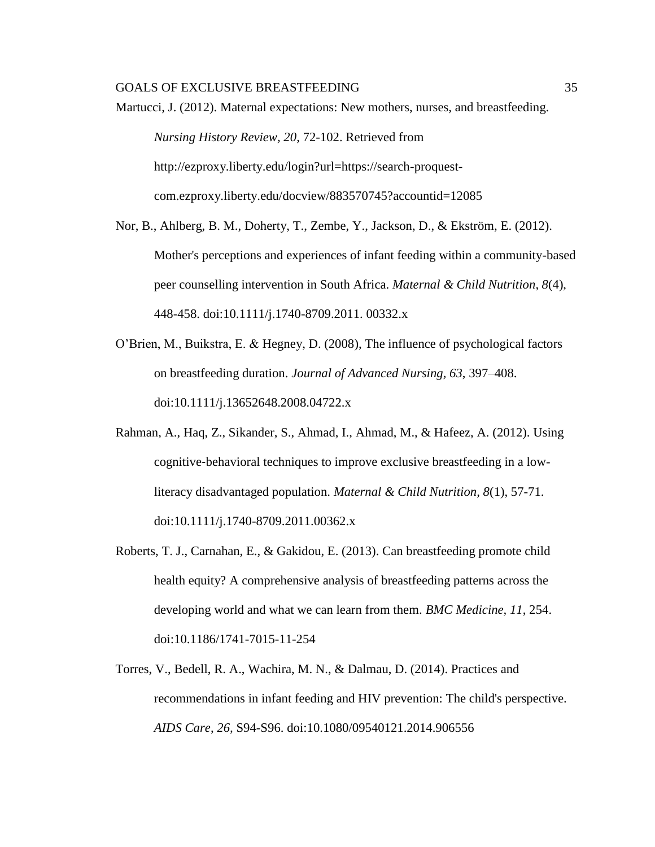Martucci, J. (2012). Maternal expectations: New mothers, nurses, and breastfeeding. *Nursing History Review, 20*, 72-102. Retrieved from [http://ezproxy.liberty.edu/login?url=https://search-proquest](http://ezproxy.liberty.edu/login?url=https://search-proquest-com.ezproxy.liberty.edu/docview/883570745?accountid=12085)[com.ezproxy.liberty.edu/docview/883570745?accountid=12085](http://ezproxy.liberty.edu/login?url=https://search-proquest-com.ezproxy.liberty.edu/docview/883570745?accountid=12085)

- Nor, B., Ahlberg, B. M., Doherty, T., Zembe, Y., Jackson, D., & Ekström, E. (2012). Mother's perceptions and experiences of infant feeding within a community-based peer counselling intervention in South Africa. *Maternal & Child Nutrition*, *8*(4), 448-458. doi:10.1111/j.1740-8709.2011. 00332.x
- O'Brien, M., Buikstra, E. & Hegney, D. (2008), The influence of psychological factors on breastfeeding duration. *Journal of Advanced Nursing, 63*, 397–408. doi:10.1111/j.13652648.2008.04722.x
- Rahman, A., Haq, Z., Sikander, S., Ahmad, I., Ahmad, M., & Hafeez, A. (2012). Using cognitive‐behavioral techniques to improve exclusive breastfeeding in a lowliteracy disadvantaged population. *Maternal & Child Nutrition, 8*(1), 57-71. doi:10.1111/j.1740-8709.2011.00362.x
- Roberts, T. J., Carnahan, E., & Gakidou, E. (2013). Can breastfeeding promote child health equity? A comprehensive analysis of breastfeeding patterns across the developing world and what we can learn from them. *BMC Medicine, 11*, 254. doi:10.1186/1741-7015-11-254
- Torres, V., Bedell, R. A., Wachira, M. N., & Dalmau, D. (2014). Practices and recommendations in infant feeding and HIV prevention: The child's perspective. *AIDS Care*, *26,* S94-S96. doi:10.1080/09540121.2014.906556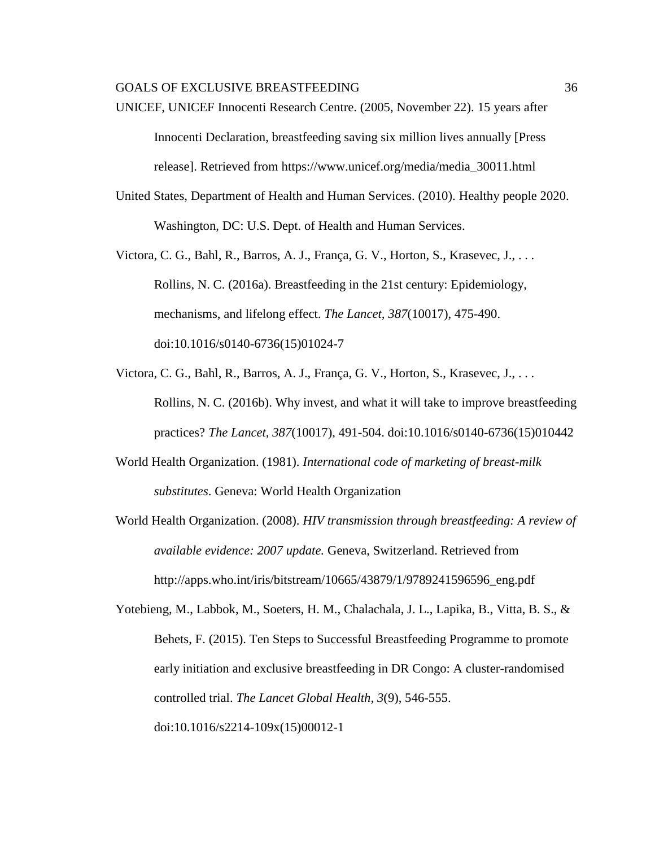- UNICEF, UNICEF Innocenti Research Centre. (2005, November 22). 15 years after Innocenti Declaration, breastfeeding saving six million lives annually [Press release]. Retrieved from https://www.unicef.org/media/media\_30011.html
- United States, Department of Health and Human Services. (2010). Healthy people 2020. Washington, DC: U.S. Dept. of Health and Human Services.
- Victora, C. G., Bahl, R., Barros, A. J., França, G. V., Horton, S., Krasevec, J., . . . Rollins, N. C. (2016a). Breastfeeding in the 21st century: Epidemiology, mechanisms, and lifelong effect. *The Lancet, 387*(10017), 475-490. doi:10.1016/s0140-6736(15)01024-7
- Victora, C. G., Bahl, R., Barros, A. J., França, G. V., Horton, S., Krasevec, J., . . . Rollins, N. C. (2016b). Why invest, and what it will take to improve breastfeeding practices? *The Lancet, 387*(10017), 491-504. doi:10.1016/s0140-6736(15)010442
- World Health Organization. (1981). *International code of marketing of breast-milk substitutes*. Geneva: World Health Organization
- World Health Organization. (2008). *HIV transmission through breastfeeding: A review of available evidence: 2007 update.* Geneva, Switzerland. Retrieved from http://apps.who.int/iris/bitstream/10665/43879/1/9789241596596\_eng.pdf

Yotebieng, M., Labbok, M., Soeters, H. M., Chalachala, J. L., Lapika, B., Vitta, B. S., & Behets, F. (2015). Ten Steps to Successful Breastfeeding Programme to promote early initiation and exclusive breastfeeding in DR Congo: A cluster-randomised controlled trial. *The Lancet Global Health, 3*(9), 546-555. doi:10.1016/s2214-109x(15)00012-1